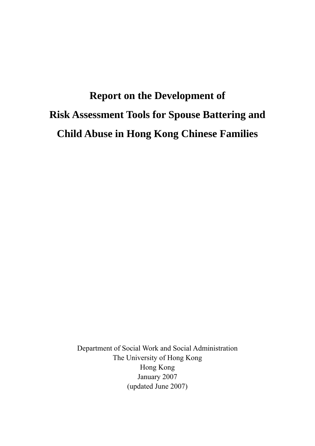# **Report on the Development of Risk Assessment Tools for Spouse Battering and Child Abuse in Hong Kong Chinese Families**

Department of Social Work and Social Administration The University of Hong Kong Hong Kong January 2007 (updated June 2007)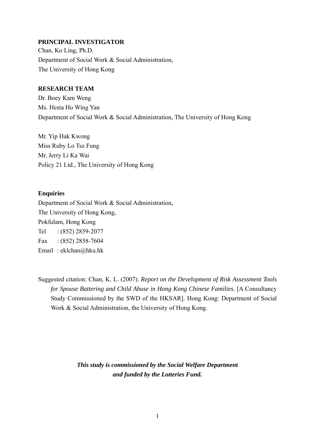#### **PRINCIPAL INVESTIGATOR**

Chan, Ko Ling, Ph.D. Department of Social Work & Social Administration, The University of Hong Kong

## **RESEARCH TEAM**

Dr. Boey Kam Weng Ms. Hesta Ho Wing Yan Department of Social Work & Social Administration, The University of Hong Kong

Mr. Yip Hak Kwong Miss Ruby Lo Tsz Fung Mr. Jerry Li Ka Wai Policy 21 Ltd., The University of Hong Kong

#### **Enquiries**

Department of Social Work & Social Administration, The University of Hong Kong, Pokfulam, Hong Kong Tel : (852) 2859-2077 Fax:  $(852)$  2858-7604 Email : eklchan@hku.hk

Suggested citation: Chan, K. L. (2007). *Report on the Development of Risk Assessment Tools for Spouse Battering and Child Abuse in Hong Kong Chinese Families.* [A Consultancy Study Commissioned by the SWD of the HKSAR]. Hong Kong: Department of Social Work & Social Administration, the University of Hong Kong.

> <span id="page-1-0"></span>*This study is commissioned by the Social Welfare Department and funded by the Lotteries Fund.*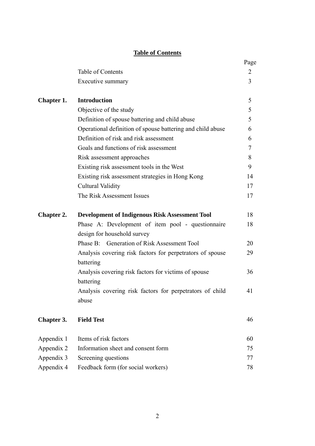# **Table of Contents**

|                   |                                                                        | Page   |
|-------------------|------------------------------------------------------------------------|--------|
|                   | Table of Contents                                                      | 2      |
|                   | Executive summary                                                      | 3      |
| Chapter 1.        | <b>Introduction</b>                                                    | 5      |
|                   | Objective of the study                                                 | 5      |
|                   | Definition of spouse battering and child abuse                         | 5      |
|                   | Operational definition of spouse battering and child abuse             | 6      |
|                   | Definition of risk and risk assessment                                 | 6      |
|                   | Goals and functions of risk assessment                                 | $\tau$ |
|                   | Risk assessment approaches                                             | 8      |
|                   | Existing risk assessment tools in the West                             | 9      |
|                   | Existing risk assessment strategies in Hong Kong                       | 14     |
|                   | Cultural Validity                                                      | 17     |
|                   | The Risk Assessment Issues                                             | 17     |
| <b>Chapter 2.</b> | <b>Development of Indigenous Risk Assessment Tool</b>                  | 18     |
|                   | Phase A: Development of item pool - questionnaire                      | 18     |
|                   | design for household survey                                            |        |
|                   | Phase B: Generation of Risk Assessment Tool                            | 20     |
|                   | Analysis covering risk factors for perpetrators of spouse<br>battering | 29     |
|                   | Analysis covering risk factors for victims of spouse<br>battering      | 36     |
|                   | Analysis covering risk factors for perpetrators of child<br>abuse      | 41     |
| Chapter 3.        | <b>Field Test</b>                                                      | 46     |
| Appendix 1        | Items of risk factors                                                  | 60     |
| Appendix 2        | Information sheet and consent form                                     | 75     |
| Appendix 3        | Screening questions                                                    | 77     |
| Appendix 4        | Feedback form (for social workers)                                     | 78     |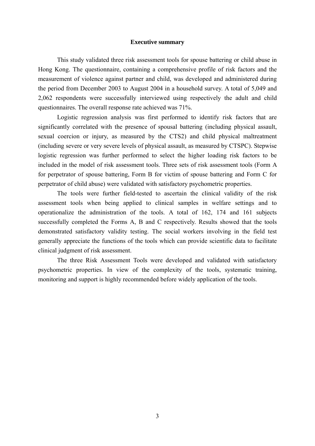#### **Executive summary**

This study validated three risk assessment tools for spouse battering or child abuse in Hong Kong. The questionnaire, containing a comprehensive profile of risk factors and the measurement of violence against partner and child, was developed and administered during the period from December 2003 to August 2004 in a household survey. A total of 5,049 and 2,062 respondents were successfully interviewed using respectively the adult and child questionnaires. The overall response rate achieved was 71%.

Logistic regression analysis was first performed to identify risk factors that are significantly correlated with the presence of spousal battering (including physical assault, sexual coercion or injury, as measured by the CTS2) and child physical maltreatment (including severe or very severe levels of physical assault, as measured by CTSPC). Stepwise logistic regression was further performed to select the higher loading risk factors to be included in the model of risk assessment tools. Three sets of risk assessment tools (Form A for perpetrator of spouse battering, Form B for victim of spouse battering and Form C for perpetrator of child abuse) were validated with satisfactory psychometric properties.

The tools were further field-tested to ascertain the clinical validity of the risk assessment tools when being applied to clinical samples in welfare settings and to operationalize the administration of the tools. A total of 162, 174 and 161 subjects successfully completed the Forms A, B and C respectively. Results showed that the tools demonstrated satisfactory validity testing. The social workers involving in the field test generally appreciate the functions of the tools which can provide scientific data to facilitate clinical judgment of risk assessment.

The three Risk Assessment Tools were developed and validated with satisfactory psychometric properties. In view of the complexity of the tools, systematic training, monitoring and support is highly recommended before widely application of the tools.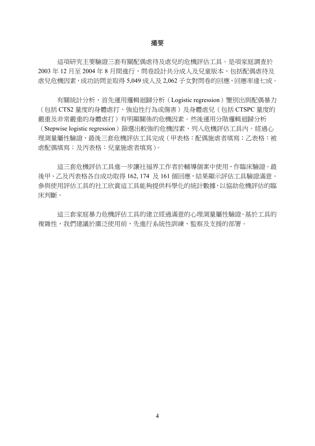#### 撮要

這項研究主要驗證三套有關配偶虐待及虐兒的危機評估工具。是項家庭調查於 2003年12月至2004年8月間進行,問卷設計共分成人及兒童版本,包括配偶虐待及 虐兒危機因素,成功訪問並取得 5,049 成人及 2,062 子女對問卷的回應,回應率達七成。

有關統計分析,首先運用邏輯迴歸分析(Logistic regression)鑒別出與配偶暴力 (包括 CTS2 量度的身體虐打、強迫性行為或傷害)及身體虐兒(包括 CTSPC 量度的 嚴重及非常嚴重的身體虐打)有明顯關係的危機因素。然後運用分階邏輯迴歸分析 (Stepwise logistic regression)篩選出較強的危機因素,列入危機評估工具內。經過心 理測量屬性驗證,最後三套危機評估工具完成(甲表格:配偶施虐者填寫;乙表格:被 虐配偶填寫;及丙表格:兒童施虐者填寫)。

這三套危機評估工具進一步讓社福界工作者於輔導個案中使用,作臨床驗證。最 後甲、乙及丙表格各自成功取得 162, 174 及 161 個回應,結果顯示評估工具驗證滿意。 參與使用評估工具的社工欣賞這工具能夠提供科學化的統計數據,以協助危機評估的臨 床判斷。

這三套家庭暴力危機評估工具的建立經過滿意的心理測量屬性驗證。基於工具的 複雜性,我們建議於廣泛使用前,先進行系統性訓練、監察及支援的部署。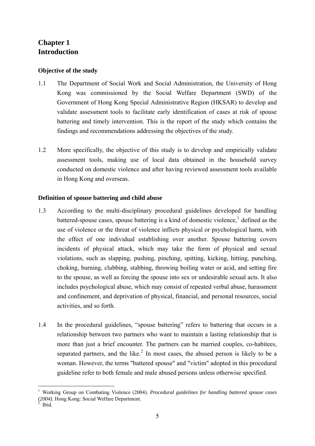# **Chapter 1 Introduction**

## **Objective of the study**

- 1.1 The Department of Social Work and Social Administration, the University of Hong Kong was commissioned by the Social Welfare Department (SWD) of the Government of Hong Kong Special Administrative Region (HKSAR) to develop and validate assessment tools to facilitate early identification of cases at risk of spouse battering and timely intervention. This is the report of the study which contains the findings and recommendations addressing the objectives of the study.
- 1.2 More specifically, the objective of this study is to develop and empirically validate assessment tools, making use of local data obtained in the household survey conducted on domestic violence and after having reviewed assessment tools available in Hong Kong and overseas.

# **Definition of spouse battering and child abuse**

- 1.3 According to the multi-disciplinary procedural guidelines developed for handling battered-spouse cases, spouse battering is a kind of domestic violence,  $\frac{1}{1}$  $\frac{1}{1}$  $\frac{1}{1}$  defined as the use of violence or the threat of violence inflicts physical or psychological harm, with the effect of one individual establishing over another. Spouse battering covers incidents of physical attack, which may take the form of physical and sexual violations, such as slapping, pushing, pinching, spitting, kicking, hitting, punching, choking, burning, clubbing, stabbing, throwing boiling water or acid, and setting fire to the spouse, as well as forcing the spouse into sex or undesirable sexual acts. It also includes psychological abuse, which may consist of repeated verbal abuse, harassment and confinement, and deprivation of physical, financial, and personal resources, social activities, and so forth.
- 1.4 In the procedural guidelines, "spouse battering" refers to battering that occurs in a relationship between two partners who want to maintain a lasting relationship that is more than just a brief encounter. The partners can be married couples, co-habitees, separated partners, and the like.<sup>[2](#page-5-0)</sup> In most cases, the abused person is likely to be a woman. However, the terms "battered spouse" and "victim" adopted in this procedural guideline refer to both female and male abused persons unless otherwise specified.

<span id="page-5-1"></span><sup>1</sup> Working Group on Combating Violence (2004). *Procedural guidelines for handling battered spouse cases (2004).* Hong Kong: Social Welfare Department. 2

<span id="page-5-0"></span>Ibid.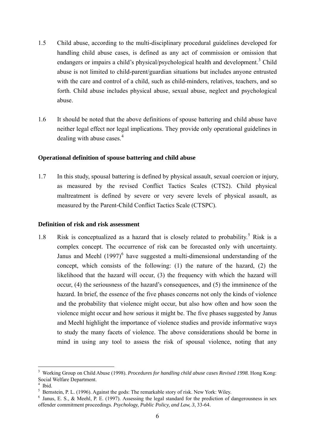- 1.5 Child abuse, according to the multi-disciplinary procedural guidelines developed for handling child abuse cases, is defined as any act of commission or omission that endangers or impairs a child's physical/psychological health and development.<sup>[3](#page-5-1)</sup> Child abuse is not limited to child-parent/guardian situations but includes anyone entrusted with the care and control of a child, such as child-minders, relatives, teachers, and so forth. Child abuse includes physical abuse, sexual abuse, neglect and psychological abuse.
- 1.6 It should be noted that the above definitions of spouse battering and child abuse have neither legal effect nor legal implications. They provide only operational guidelines in dealing with abuse cases. $4$

## **Operational definition of spouse battering and child abuse**

1.7 In this study, spousal battering is defined by physical assault, sexual coercion or injury, as measured by the revised Conflict Tactics Scales (CTS2). Child physical maltreatment is defined by severe or very severe levels of physical assault, as measured by the Parent-Child Conflict Tactics Scale (CTSPC).

#### **Definition of risk and risk assessment**

1.8 Risk is conceptualized as a hazard that is closely related to probability.<sup>[5](#page-6-1)</sup> Risk is a complex concept. The occurrence of risk can be forecasted only with uncertainty. Janus and Meehl  $(1997)^6$  $(1997)^6$  have suggested a multi-dimensional understanding of the concept, which consists of the following: (1) the nature of the hazard, (2) the likelihood that the hazard will occur, (3) the frequency with which the hazard will occur, (4) the seriousness of the hazard's consequences, and (5) the imminence of the hazard. In brief, the essence of the five phases concerns not only the kinds of violence and the probability that violence might occur, but also how often and how soon the violence might occur and how serious it might be. The five phases suggested by Janus and Meehl highlight the importance of violence studies and provide informative ways to study the many facets of violence. The above considerations should be borne in mind in using any tool to assess the risk of spousal violence, noting that any

<span id="page-6-3"></span><sup>3</sup> Working Group on Child Abuse (1998). *Procedures for handling child abuse cases Revised 1998.* Hong Kong: Social Welfare Department.

<span id="page-6-0"></span><sup>4</sup> Ibid.

<span id="page-6-1"></span> $<sup>5</sup>$  Bernstein, P. L. (1996). Against the gods: The remarkable story of risk. New York: Wiley.</sup>

<span id="page-6-2"></span><sup>&</sup>lt;sup>6</sup> Janus, E. S., & Meehl, P. E. (1997). Assessing the legal standard for the prediction of dangerousness in sex offender commitment proceedings. *Psychology, Public Policy, and Law, 3*, 33-64.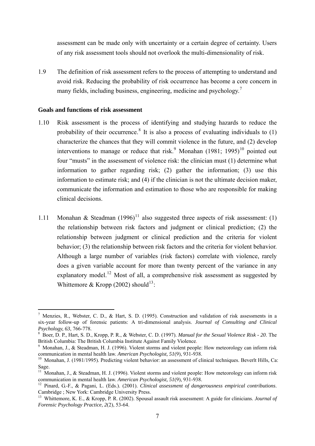assessment can be made only with uncertainty or a certain degree of certainty. Users of any risk assessment tools should not overlook the multi-dimensionality of risk.

1.9 The definition of risk assessment refers to the process of attempting to understand and avoid risk. Reducing the probability of risk occurrence has become a core concern in many fields, including business, engineering, medicine and psychology.<sup>[7](#page-6-3)</sup>

#### **Goals and functions of risk assessment**

- 1.10 Risk assessment is the process of identifying and studying hazards to reduce the probability of their occurrence.<sup>[8](#page-7-0)</sup> It is also a process of evaluating individuals to  $(1)$ characterize the chances that they will commit violence in the future, and (2) develop interventions to manage or reduce that risk.<sup>[9](#page-7-1)</sup> Monahan  $(1981; 1995)^{10}$  $(1981; 1995)^{10}$  $(1981; 1995)^{10}$  pointed out four "musts" in the assessment of violence risk: the clinician must (1) determine what information to gather regarding risk; (2) gather the information; (3) use this information to estimate risk; and (4) if the clinician is not the ultimate decision maker, communicate the information and estimation to those who are responsible for making clinical decisions.
- 1.[11](#page-7-3) Monahan & Steadman  $(1996)^{11}$  also suggested three aspects of risk assessment: (1) the relationship between risk factors and judgment or clinical prediction; (2) the relationship between judgment or clinical prediction and the criteria for violent behavior; (3) the relationship between risk factors and the criteria for violent behavior. Although a large number of variables (risk factors) correlate with violence, rarely does a given variable account for more than twenty percent of the variance in any explanatory model.<sup>[12](#page-7-4)</sup> Most of all, a comprehensive risk assessment as suggested by Whittemore & Kropp (2002) should<sup>[13](#page-7-5)</sup>:

<sup>&</sup>lt;sup>7</sup> Menzies, R., Webster, C. D., & Hart, S. D. (1995). Construction and validation of risk assessments in a six-year follow-up of forensic patients: A tri-dimensional analysis. *Journal of Consulting and Clinical*  Psychology, 63, 766-778.<br><sup>8</sup> Boer, D. P., Hart, S. D., Kropp, P. R., & Webster, C. D. (1997). *Manual for the Sexual Violence Risk - 20*. The

<span id="page-7-0"></span>British Columbia: The British Columbia Institute Against Family Violence.

<span id="page-7-6"></span><span id="page-7-1"></span><sup>&</sup>lt;sup>9</sup> Monahan, J., & Steadman, H. J. (1996). Violent storms and violent people: How meteorology can inform risk communication in mental health law. *American Psychologist, 51*(9), 931-938.<br><sup>10</sup> Monahan, J. (1981/1995). Predicting violent behavior: an assessment of clinical techniques. Beverlt Hills, Ca:

<span id="page-7-2"></span>Sage.

<span id="page-7-3"></span><sup>&</sup>lt;sup>11</sup> Monahan, J., & Steadman, H. J. (1996). Violent storms and violent people: How meteorology can inform risk communication in mental health law. *American Psychologist*, 51(9), 931-938.

<span id="page-7-4"></span><sup>&</sup>lt;sup>12</sup> Pinard, G.-F., & Pagani, L. (Eds.). (2001). *Clinical assessment of dangerousness empirical contributions*. Cambridge ; New York: Cambridge University Press.

<span id="page-7-5"></span><sup>13</sup> Whittemore, K. E., & Kropp, P. R. (2002). Spousal assault risk assessment: A guide for clinicians. *Journal of Forensic Psychology Practice, 2*(2), 53-64.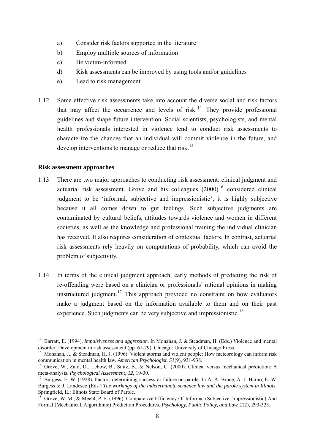- a) Consider risk factors supported in the literature
- b) Employ multiple sources of information
- c) Be victim-informed
- d) Risk assessments can be improved by using tools and/or guidelines
- e) Lead to risk management.
- 1.12 Some effective risk assessments take into account the diverse social and risk factors that may affect the occurrence and levels of risk.<sup>[14](#page-7-6)</sup> They provide professional guidelines and shape future intervention. Social scientists, psychologists, and mental health professionals interested in violence tend to conduct risk assessments to characterize the chances that an individual will commit violence in the future, and develop interventions to manage or reduce that risk.<sup>[15](#page-8-0)</sup>

# **Risk assessment approaches**

- 1.13 There are two major approaches to conducting risk assessment: clinical judgment and actuarial risk assessment. Grove and his colleagues  $(2000)^{16}$  $(2000)^{16}$  $(2000)^{16}$  considered clinical judgment to be 'informal, subjective and impressionistic'; it is highly subjective because it all comes down to gut feelings. Such subjective judgments are contaminated by cultural beliefs, attitudes towards violence and women in different societies, as well as the knowledge and professional training the individual clinician has received. It also requires consideration of contextual factors. In contrast, actuarial risk assessments rely heavily on computations of probability, which can avoid the problem of subjectivity.
- 1.14 In terms of the clinical judgment approach, early methods of predicting the risk of re-offending were based on a clinician or professionals' rational opinions in making unstructured judgment.<sup>[17](#page-8-2)</sup> This approach provided no constraint on how evaluators make a judgment based on the information available to them and on their past experience. Such judgments can be very subjective and impressionistic.<sup>[18](#page-8-3)</sup>

<sup>14</sup> Barratt, E. (1994). *Impulsiveness and aggression*. In Monahan, J. & Steadman, H. (Eds.) Violence and mental disorder: Development in risk assessment (pp. 61-79). Chicago: University of Chicago Press.

<span id="page-8-0"></span><sup>&</sup>lt;sup>15</sup> Monahan, J., & Steadman, H. J. (1996). Violent storms and violent people: How meteorology can inform risk communication in mental health law. *American Psychologist*, 51(9), 931-938.

<span id="page-8-1"></span><sup>&</sup>lt;sup>16</sup> Grove, W., Zald, D., Lebow, B., Snitz, B., & Nelson, C. (2000). Clinical versus mechanical prediction: A meta-analysis. *Psychological Assessment*, 12, 19-30.

<span id="page-8-4"></span><span id="page-8-2"></span><sup>&</sup>lt;sup>17</sup> Burgess, E. W. (1928). Factors determining success or failure on parole. In A. A. Bruce, A. J. Harno, E. W. Burgess & J. Landesco (Eds.) *The workings of the indeterminate sentence law and the parole system in Illinois*. Springfield, IL: Illinois State Board of Parole.

<span id="page-8-3"></span><sup>18</sup> Grove, W. M., & Meehl, P. E. (1996). Comparative Efficiency Of Informal (Subjective, Impressionistic) And Formal (Mechanical, Algorithmic) Prediction Procedures. *Psychology, Public Policy, and Law, 2*(2), 293-323.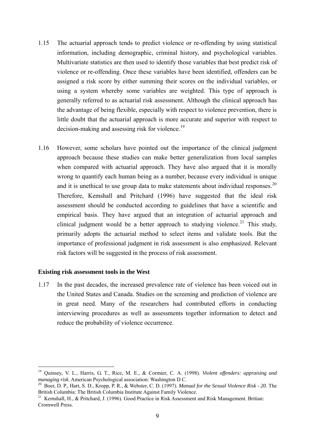- 1.15 The actuarial approach tends to predict violence or re-offending by using statistical information, including demographic, criminal history, and psychological variables. Multivariate statistics are then used to identify those variables that best predict risk of violence or re-offending. Once these variables have been identified, offenders can be assigned a risk score by either summing their scores on the individual variables, or using a system whereby some variables are weighted. This type of approach is generally referred to as actuarial risk assessment. Although the clinical approach has the advantage of being flexible, especially with respect to violence prevention, there is little doubt that the actuarial approach is more accurate and superior with respect to decision-making and assessing risk for violence.<sup>[19](#page-8-4)</sup>
- 1.16 However, some scholars have pointed out the importance of the clinical judgment approach because these studies can make better generalization from local samples when compared with actuarial approach. They have also argued that it is morally wrong to quantify each human being as a number, because every individual is unique and it is unethical to use group data to make statements about individual responses. $^{20}$  $^{20}$  $^{20}$ Therefore, Kemshall and Pritchard (1996) have suggested that the ideal risk assessment should be conducted according to guidelines that have a scientific and empirical basis. They have argued that an integration of actuarial approach and clinical judgment would be a better approach to studying violence.<sup>[21](#page-9-1)</sup> This study, primarily adopts the actuarial method to select items and validate tools. But the importance of professional judgment in risk assessment is also emphasized. Relevant risk factors will be suggested in the process of risk assessment.

#### **Existing risk assessment tools in the West**

<span id="page-9-2"></span>1

1.17 In the past decades, the increased prevalence rate of violence has been voiced out in the United States and Canada. Studies on the screening and prediction of violence are in great need. Many of the researchers had contributed efforts in conducting interviewing procedures as well as assessments together information to detect and reduce the probability of violence occurrence.

<sup>19</sup> Quinsey, V. L., Harris, G. T., Rice, M. E., & Cormier, C. A. (1998). *Violent offenders: appraising and* 

<span id="page-9-0"></span><sup>&</sup>lt;sup>20</sup> Boer, D. P., Hart, S. D., Kropp, P. R., & Webster, C. D. (1997). *Manual for the Sexual Violence Risk - 20*. The British Columbia: The British Columbia Institute Against Family Violence.

<span id="page-9-1"></span><sup>&</sup>lt;sup>21</sup> Kemshall, H., & Pritchard, J. (1996). Good Practice in Risk Assessment and Risk Management. Britian: Cromwell Press.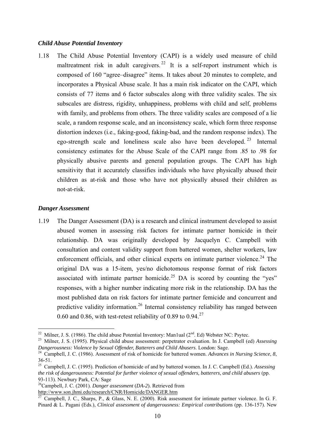#### *Child Abuse Potential Inventory*

1.18 The Child Abuse Potential Inventory (CAPI) is a widely used measure of child maltreatment risk in adult caregivers.<sup>[22](#page-9-2)</sup> It is a self-report instrument which is composed of 160 "agree–disagree" items. It takes about 20 minutes to complete, and incorporates a Physical Abuse scale. It has a main risk indicator on the CAPI, which consists of 77 items and 6 factor subscales along with three validity scales. The six subscales are distress, rigidity, unhappiness, problems with child and self, problems with family, and problems from others. The three validity scales are composed of a lie scale, a random response scale, and an inconsistency scale, which form three response distortion indexes (i.e., faking-good, faking-bad, and the random response index). The ego-strength scale and loneliness scale also have been developed. [23](#page-10-0) Internal consistency estimates for the Abuse Scale of the CAPI range from .85 to .98 for physically abusive parents and general population groups. The CAPI has high sensitivity that it accurately classifies individuals who have physically abused their children as at-risk and those who have not physically abused their children as not-at-risk.

#### *Danger Assessment*

1

1.19 The Danger Assessment (DA) is a research and clinical instrument developed to assist abused women in assessing risk factors for intimate partner homicide in their relationship. DA was originally developed by Jacquelyn C. Campbell with consultation and content validity support from battered women, shelter workers, law enforcement officials, and other clinical experts on intimate partner violence.<sup>[24](#page-10-1)</sup> The original DA was a 15-item, yes/no dichotomous response format of risk factors associated with intimate partner homicide.<sup>[25](#page-10-2)</sup> DA is scored by counting the "yes" responses, with a higher number indicating more risk in the relationship. DA has the most published data on risk factors for intimate partner femicide and concurrent and predictive validity information.<sup>[26](#page-10-3)</sup> Internal consistency reliability has ranged between 0.60 and 0.86, with test-retest reliability of 0.89 to 0.94.<sup>[27](#page-10-4)</sup>

<sup>&</sup>lt;sup>22</sup> Milner, J. S. (1986). The child abuse Potential Inventory: Man1ual (2<sup>nd</sup>. Ed) Webster NC: Psytec.<br><sup>23</sup> Milner, J. S. (1995). Physical child abuse assessment: perpetrator evaluation. In J. Campbell (ed) *Assessing* 

<span id="page-10-0"></span>*Dangerousness: Violence by Sexual Offender, Batterers and Child Abusers. London: Sage.*<br><sup>24</sup> Campbell, J. C. (1986). Assessment of risk of homicide for battered women. *Advances in Nursing Science*, *8*,

<span id="page-10-1"></span><sup>36-51.</sup> 

<span id="page-10-2"></span><sup>25</sup> Campbell, J. C. (1995). Prediction of homicide of and by battered women. In J. C. Campbell (Ed.). *Assessing the risk of dangerousness: Potential for further violence of sexual offenders, batterers, and child abusers* (pp. 93-113). Newbury Park, CA: Sage

<span id="page-10-3"></span><sup>26</sup>Campbell, J. C. (2001). *Danger assessment* (*DA-2*). Retrieved from

<http://www.son.jhmi.edu/research/CNR/Homicide/DANGER.htm>

<span id="page-10-4"></span> $\frac{27}{27}$  Campbell, J. C., Sharps, P., & Glass, N. E. (2000). Risk assessment for intimate partner violence. In G. F. Pinard & L. Pagani (Eds.), *Clinical assessment of dangerousness: Empirical contributions* (pp. 136-157). New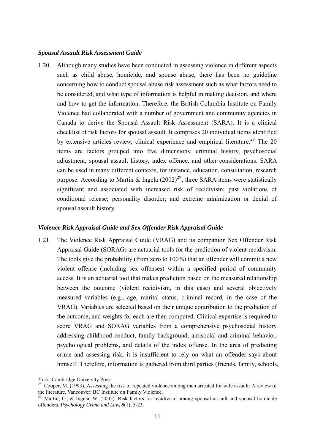#### *Spousal Assault Risk Assessment Guide*

1.20 Although many studies have been conducted in assessing violence in different aspects such as child abuse, homicide, and spouse abuse, there has been no guideline concerning how to conduct spousal abuse risk assessment such as what factors need to be considered, and what type of information is helpful in making decision, and where and how to get the information. Therefore, the British Columbia Institute on Family Violence had collaborated with a number of government and community agencies in Canada to derive the Spousal Assault Risk Assessment (SARA). It is a clinical checklist of risk factors for spousal assault. It comprises 20 individual items identified by extensive articles review, clinical experience and empirical literature.<sup>[28](#page-10-3)</sup> The 20 items are factors grouped into five dimensions: criminal history, psychosocial adjustment, spousal assault history, index offence, and other considerations. SARA can be used in many different contexts, for instance, education, consultation, research purpose. According to Martin & Ingela  $(2002)^{29}$  $(2002)^{29}$  $(2002)^{29}$ , three SARA items were statistically significant and associated with increased risk of recidivism: past violations of conditional release; personality disorder; and extreme minimization or denial of spousal assault history.

#### *Violence Risk Appraisal Guide and Sex Offender Risk Appraisal Guide*

1.21 The Violence Risk Appraisal Guide (VRAG) and its companion Sex Offender Risk Appraisal Guide (SORAG) are actuarial tools for the prediction of violent recidivism. The tools give the probability (from zero to 100%) that an offender will commit a new violent offense (including sex offenses) within a specified period of community access. It is an actuarial tool that makes prediction based on the measured relationship between the outcome (violent recidivism, in this case) and several objectively measured variables (e.g., age, marital status, criminal record, in the case of the VRAG). Variables are selected based on their unique contribution to the prediction of the outcome, and weights for each are then computed. Clinical expertise is required to score VRAG and SORAG variables from a comprehensive psychosocial history addressing childhood conduct, family background, antisocial and criminal behavior, psychological problems, and details of the index offense. In the area of predicting crime and assessing risk, it is insufficient to rely on what an offender says about himself. Therefore, information is gathered from third parties (friends, family, schools,

York: Cambridge University Press.

<sup>&</sup>lt;sup>28</sup> Cooper, M. (1993). Assessing the risk of repeated violence among men arrested for wife assault: A review of the literature. Vancouver: BC Institute on Family Violence.

<span id="page-11-0"></span><sup>&</sup>lt;sup>29</sup> Martin, G., & Ingela, W. (2002). Risk factors for recidivism among spousal assault and spousal homicide offenders. *Psychology Crime and Law, 8*(1), 5-23.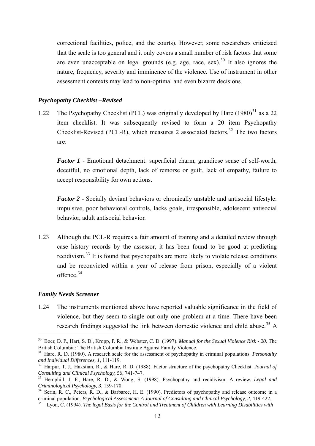correctional facilities, police, and the courts). However, some researchers criticized that the scale is too general and it only covers a small number of risk factors that some are even unacceptable on legal grounds (e.g. age, race, sex).<sup>30</sup> It also ignores the nature, frequency, severity and imminence of the violence. Use of instrument in other assessment contexts may lead to non-optimal and even bizarre decisions.

## *Psychopathy Checklist –Revised*

1.22 The Psychopathy Checklist (PCL) was originally developed by Hare  $(1980)^{31}$  $(1980)^{31}$  $(1980)^{31}$  as a 22 item checklist. It was subsequently revised to form a 20 item Psychopathy Checklist-Revised (PCL-R), which measures 2 associated factors.<sup>[32](#page-12-1)</sup> The two factors are:

*Factor 1* - Emotional detachment: superficial charm, grandiose sense of self-worth, deceitful, no emotional depth, lack of remorse or guilt, lack of empathy, failure to accept responsibility for own actions.

*Factor 2* **-** Socially deviant behaviors or chronically unstable and antisocial lifestyle: impulsive, poor behavioral controls, lacks goals, irresponsible, adolescent antisocial behavior, adult antisocial behavior.

1.23 Although the PCL-R requires a fair amount of training and a detailed review through case history records by the assessor, it has been found to be good at predicting recidivism.[33](#page-12-2) It is found that psychopaths are more likely to violate release conditions and be reconvicted within a year of release from prison, especially of a violent offence.[34](#page-12-3)

#### *Family Needs Screener*

1

1.24 The instruments mentioned above have reported valuable significance in the field of violence, but they seem to single out only one problem at a time. There have been research findings suggested the link between domestic violence and child abuse.<sup>[35](#page-12-4)</sup> A

<sup>30</sup> Boer, D. P., Hart, S. D., Kropp, P. R., & Webster, C. D. (1997). *Manual for the Sexual Violence Risk - 20*. The British Columbia: The British Columbia Institute Against Family Violence.

<span id="page-12-0"></span><sup>&</sup>lt;sup>31</sup> Hare, R. D. (1980). A research scale for the assessment of psychopathy in criminal populations. *Personality and Individual Differences, 1*, 111-119. 32 Harpur, T. J., Hakstian, R., & Hare, R. D. (1988). Factor structure of the psychopathy Checklist. *Journal of* 

<span id="page-12-2"></span><span id="page-12-1"></span>*Consulting and Clinical Psychology, 56, 741-747.*<br><sup>33</sup> Hemphill, J. F., Hare, R. D., & Wong, S. (1998). Psychopathy and recidivism: A review. *Legal and Criminological Psychology*, 3, 139-170.

<span id="page-12-3"></span><sup>&</sup>lt;sup>34</sup> Serin, R. C., Peters, R. D., & Barbaree, H. E. (1990). Predictors of psychopathy and release outcome in a example 20. 2014) and Clinical Psychology, 2, 419-422.<br>
Eyon, C. (1994). The legal Basis for the Control and Treatment of Children with Learning Disabilities with

<span id="page-12-4"></span>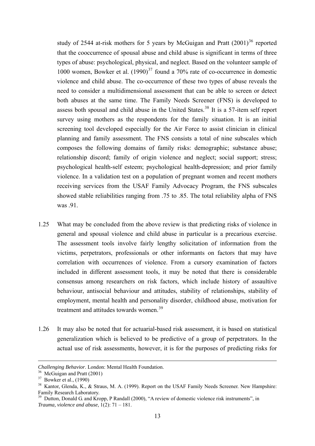study of 2544 at-risk mothers for 5 years by McGuigan and Pratt  $(2001)^{36}$  reported that the cooccurrence of spousal abuse and child abuse is significant in terms of three types of abuse: psychological, physical, and neglect. Based on the volunteer sample of 1000 women, Bowker et al.  $(1990)^{37}$  found a 70% rate of co-occurrence in domestic violence and child abuse. The co-occurrence of these two types of abuse reveals the need to consider a multidimensional assessment that can be able to screen or detect both abuses at the same time. The Family Needs Screener (FNS) is developed to assess both spousal and child abuse in the United States.<sup>38</sup> It is a 57-item self report survey using mothers as the respondents for the family situation. It is an initial screening tool developed especially for the Air Force to assist clinician in clinical planning and family assessment. The FNS consists a total of nine subscales which composes the following domains of family risks: demographic; substance abuse; relationship discord; family of origin violence and neglect; social support; stress; psychological health-self esteem; psychological health-depression; and prior family violence. In a validation test on a population of pregnant women and recent mothers receiving services from the USAF Family Advocacy Program, the FNS subscales showed stable reliabilities ranging from .75 to .85. The total reliability alpha of FNS was .91.

- 1.25 What may be concluded from the above review is that predicting risks of violence in general and spousal violence and child abuse in particular is a precarious exercise. The assessment tools involve fairly lengthy solicitation of information from the victims, perpetrators, professionals or other informants on factors that may have correlation with occurrences of violence. From a cursory examination of factors included in different assessment tools, it may be noted that there is considerable consensus among researchers on risk factors, which include history of assaultive behaviour, antisocial behaviour and attitudes, stability of relationships, stability of employment, mental health and personality disorder, childhood abuse, motivation for treatment and attitudes towards women.<sup>[39](#page-13-0)</sup>
- 1.26 It may also be noted that for actuarial-based risk assessment, it is based on statistical generalization which is believed to be predictive of a group of perpetrators. In the actual use of risk assessments, however, it is for the purposes of predicting risks for

<u>.</u>

*Challenging Behavior*. London: Mental Health Foundation.<br><sup>36</sup> McGuigan and Pratt (2001)

 $37$  Bowker et al.,  $(1990)$ 

<sup>&</sup>lt;sup>38</sup> Kantor, Glenda, K., & Straus, M. A. (1999). Report on the USAF Family Needs Screener. New Hampshire: Family Research Laboratory.

<span id="page-13-0"></span> $39$  Dutton, Donald G. and Kropp, P Randall (2000), "A review of domestic violence risk instruments", in *Trauma, violence and abuse*, 1(2): 71 – 181.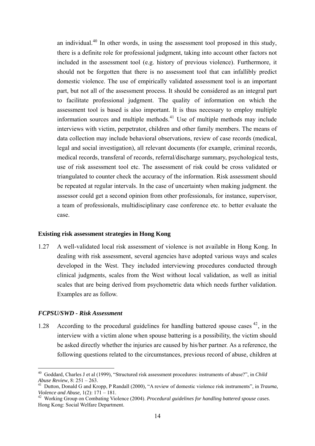an individual.<sup>40</sup> In other words, in using the assessment tool proposed in this study, there is a definite role for professional judgment, taking into account other factors not included in the assessment tool (e.g. history of previous violence). Furthermore, it should not be forgotten that there is no assessment tool that can infallibly predict domestic violence. The use of empirically validated assessment tool is an important part, but not all of the assessment process. It should be considered as an integral part to facilitate professional judgment. The quality of information on which the assessment tool is based is also important. It is thus necessary to employ multiple information sources and multiple methods.<sup>41</sup> Use of multiple methods may include interviews with victim, perpetrator, children and other family members. The means of data collection may include behavioral observations, review of case records (medical, legal and social investigation), all relevant documents (for example, criminal records, medical records, transferal of records, referral/discharge summary, psychological tests, use of risk assessment tool etc. The assessment of risk could be cross validated or triangulated to counter check the accuracy of the information. Risk assessment should be repeated at regular intervals. In the case of uncertainty when making judgment. the assessor could get a second opinion from other professionals, for instance, supervisor, a team of professionals, multidisciplinary case conference etc. to better evaluate the case.

#### **Existing risk assessment strategies in Hong Kong**

1.27 A well-validated local risk assessment of violence is not available in Hong Kong. In dealing with risk assessment, several agencies have adopted various ways and scales developed in the West. They included interviewing procedures conducted through clinical judgments, scales from the West without local validation, as well as initial scales that are being derived from psychometric data which needs further validation. Examples are as follow.

#### *FCPSU/SWD - Risk Assessment*

<span id="page-14-1"></span>1

1.28 According to the procedural guidelines for handling battered spouse cases  $42$ , in the interview with a victim alone when spouse battering is a possibility, the victim should be asked directly whether the injuries are caused by his/her partner. As a reference, the following questions related to the circumstances, previous record of abuse, children at

<sup>40</sup> Goddard, Charles J et al (1999), "Structured risk assessment procedures: instruments of abuse?", in *Child* 

*Abuse Review*, 8: 251 – 263.<br><sup>41</sup> Dutton, Donald G and Kropp, P Randall (2000), "A review of domestic violence risk instruments", in *Trauma*, *Violence and Abuse*, 1(2): 171 – 181.

<span id="page-14-0"></span><sup>&</sup>lt;sup>42</sup> Working Group on Combating Violence (2004). *Procedural guidelines for handling battered spouse cases.* Hong Kong: Social Welfare Department.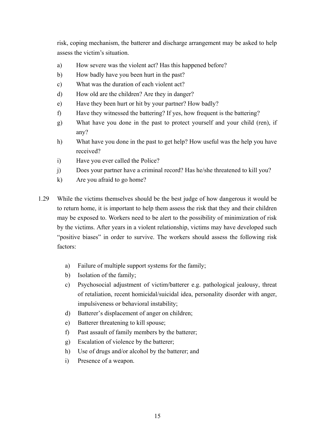risk, coping mechanism, the batterer and discharge arrangement may be asked to help assess the victim's situation.

- a) How severe was the violent act? Has this happened before?
- b) How badly have you been hurt in the past?
- c) What was the duration of each violent act?
- d) How old are the children? Are they in danger?
- e) Have they been hurt or hit by your partner? How badly?
- f) Have they witnessed the battering? If yes, how frequent is the battering?
- g) What have you done in the past to protect yourself and your child (ren), if any?
- h) What have you done in the past to get help? How useful was the help you have received?
- i) Have you ever called the Police?
- j) Does your partner have a criminal record? Has he/she threatened to kill you?
- k) Are you afraid to go home?
- 1.29 While the victims themselves should be the best judge of how dangerous it would be to return home, it is important to help them assess the risk that they and their children may be exposed to. Workers need to be alert to the possibility of minimization of risk by the victims. After years in a violent relationship, victims may have developed such "positive biases" in order to survive. The workers should assess the following risk factors:
	- a) Failure of multiple support systems for the family;
	- b) Isolation of the family;
	- c) Psychosocial adjustment of victim/batterer e.g. pathological jealousy, threat of retaliation, recent homicidal/suicidal idea, personality disorder with anger, impulsiveness or behavioral instability;
	- d) Batterer's displacement of anger on children;
	- e) Batterer threatening to kill spouse;
	- f) Past assault of family members by the batterer;
	- g) Escalation of violence by the batterer;
	- h) Use of drugs and/or alcohol by the batterer; and
	- i) Presence of a weapon.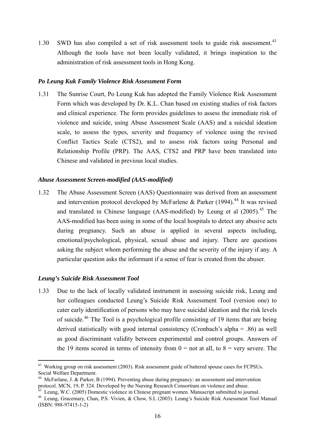1.30 SWD has also compiled a set of risk assessment tools to guide risk assessment.<sup>[43](#page-14-1)</sup> Although the tools have not been locally validated, it brings inspiration to the administration of risk assessment tools in Hong Kong.

#### *Po Leung Kuk Family Violence Risk Assessment Form*

1.31 The Sunrise Court, Po Leung Kuk has adopted the Family Violence Risk Assessment Form which was developed by Dr. K.L. Chan based on existing studies of risk factors and clinical experience. The form provides guidelines to assess the immediate risk of violence and suicide, using Abuse Assessment Scale (AAS) and a suicidal ideation scale, to assess the types, severity and frequency of violence using the revised Conflict Tactics Scale (CTS2), and to assess risk factors using Personal and Relationship Profile (PRP). The AAS, CTS2 and PRP have been translated into Chinese and validated in previous local studies.

#### *Abuse Assessment Screen-modified (AAS-modified)*

1.32 The Abuse Assessment Screen (AAS) Questionnaire was derived from an assessment and intervention protocol developed by McFarlene & Parker (1994).<sup>[44](#page-16-0)</sup> It was revised and translated in Chinese language (AAS-modified) by Leung et al  $(2005)$ <sup>[45](#page-16-1)</sup>. The AAS-modified has been using in some of the local hospitals to detect any abusive acts during pregnancy. Such an abuse is applied in several aspects including, emotional/psychological, physical, sexual abuse and injury. There are questions asking the subject whom performing the abuse and the severity of the injury if any. A particular question asks the informant if a sense of fear is created from the abuser.

#### *Leung's Suicide Risk Assessment Tool*

1

1.33 Due to the lack of locally validated instrument in assessing suicide risk, Leung and her colleagues conducted Leung's Suicide Risk Assessment Tool (version one) to cater early identification of persons who may have suicidal ideation and the risk levels of suicide.<sup>[46](#page-16-2)</sup> The Tool is a psychological profile consisting of 19 items that are being derived statistically with good internal consistency (Cronbach's alpha = .86) as well as good discriminant validity between experimental and control groups. Answers of the 19 items scored in terms of intensity from  $0 =$  not at all, to  $8 =$  very severe. The

<span id="page-16-3"></span><sup>43</sup> Working group on risk assessment (2003). Risk assessment guide of battered spouse cases for FCPSUs. Social Welfare Department.

<span id="page-16-0"></span><sup>&</sup>lt;sup>44</sup> McFarlane, J. & Parker, B (1994). Preventing abuse during pregnancy: an assessment and intervention protocol. MCN, 19, P. 324. Developed by the Nursing Research Consortium on violence and abuse.

<sup>&</sup>lt;sup>45</sup> Leung, W.C. (2005) Domestic violence in Chinese pregnant women. Manuscript submitted to journal.

<span id="page-16-2"></span><span id="page-16-1"></span><sup>46</sup> Leung, Gracemary, Chan, P.S. Vivien, & Chow, S.L (2003). Leung's Suicide Risk Assessment Tool Manual (ISBN: 988-97415-1-2)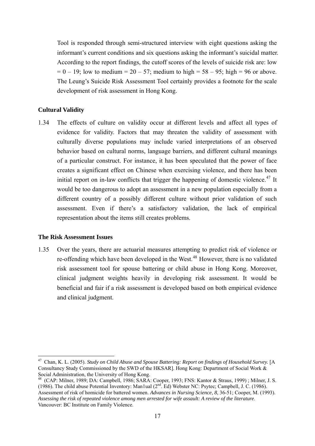Tool is responded through semi-structured interview with eight questions asking the informant's current conditions and six questions asking the informant's suicidal matter. According to the report findings, the cutoff scores of the levels of suicide risk are: low  $= 0 - 19$ ; low to medium  $= 20 - 57$ ; medium to high  $= 58 - 95$ ; high  $= 96$  or above. The Leung's Suicide Risk Assessment Tool certainly provides a footnote for the scale development of risk assessment in Hong Kong.

# **Cultural Validity**

1.34 The effects of culture on validity occur at different levels and affect all types of evidence for validity. Factors that may threaten the validity of assessment with culturally diverse populations may include varied interpretations of an observed behavior based on cultural norms, language barriers, and different cultural meanings of a particular construct. For instance, it has been speculated that the power of face creates a significant effect on Chinese when exercising violence, and there has been initial report on in-law conflicts that trigger the happening of domestic violence.<sup>[47](#page-16-3)</sup> It would be too dangerous to adopt an assessment in a new population especially from a different country of a possibly different culture without prior validation of such assessment. Even if there's a satisfactory validation, the lack of empirical representation about the items still creates problems.

#### **The Risk Assessment Issues**

<u>.</u>

1.35 Over the years, there are actuarial measures attempting to predict risk of violence or re-offending which have been developed in the West.<sup>[48](#page-17-0)</sup> However, there is no validated risk assessment tool for spouse battering or child abuse in Hong Kong. Moreover, clinical judgment weights heavily in developing risk assessment. It would be beneficial and fair if a risk assessment is developed based on both empirical evidence and clinical judgment.

<sup>&</sup>lt;sup>47</sup> Chan, K. L. (2005). *Study on Child Abuse and Spouse Battering: Report on findings of Household Survey.* [A Consultancy Study Commissioned by the SWD of the HKSAR]. Hong Kong: Department of Social Work & Social Administration, the University of Hong Kong.

<span id="page-17-1"></span><span id="page-17-0"></span><sup>48 (</sup>CAP: Milner, 1989; DA: Campbell, 1986; SARA: Cooper, 1993; FNS: Kantor & Straus, 1999) ; Milner, J. S. (1986). The child abuse Potential Inventory: Man1ual (2nd. Ed) Webster NC: Psytec; Campbell, J. C. (1986). Assessment of risk of homicide for battered women. *Advances in Nursing Science*, *8*, 36-51; Cooper, M. (1993). *Assessing the risk of repeated violence among men arrested for wife assault: A review of the literature*. Vancouver: BC Institute on Family Violence.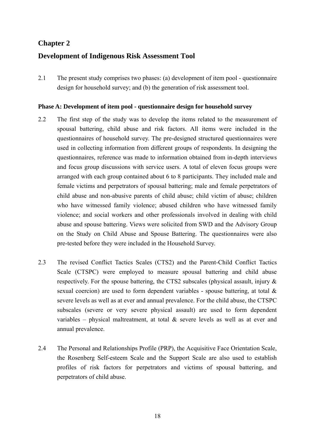# **Chapter 2**

# **Development of Indigenous Risk Assessment Tool**

2.1 The present study comprises two phases: (a) development of item pool - questionnaire design for household survey; and (b) the generation of risk assessment tool.

## **Phase A: Development of item pool - questionnaire design for household survey**

- 2.2 The first step of the study was to develop the items related to the measurement of spousal battering, child abuse and risk factors. All items were included in the questionnaires of household survey. The pre-designed structured questionnaires were used in collecting information from different groups of respondents. In designing the questionnaires, reference was made to information obtained from in-depth interviews and focus group discussions with service users. A total of eleven focus groups were arranged with each group contained about 6 to 8 participants. They included male and female victims and perpetrators of spousal battering; male and female perpetrators of child abuse and non-abusive parents of child abuse; child victim of abuse; children who have witnessed family violence; abused children who have witnessed family violence; and social workers and other professionals involved in dealing with child abuse and spouse battering. Views were solicited from SWD and the Advisory Group on the Study on Child Abuse and Spouse Battering. The questionnaires were also pre-tested before they were included in the Household Survey.
- 2.3 The revised Conflict Tactics Scales (CTS2) and the Parent-Child Conflict Tactics Scale (CTSPC) were employed to measure spousal battering and child abuse respectively. For the spouse battering, the CTS2 subscales (physical assault, injury  $\&$ sexual coercion) are used to form dependent variables - spouse battering, at total & severe levels as well as at ever and annual prevalence. For the child abuse, the CTSPC subscales (severe or very severe physical assault) are used to form dependent variables – physical maltreatment, at total  $\&$  severe levels as well as at ever and annual prevalence.
- 2.4 The Personal and Relationships Profile (PRP), the Acquisitive Face Orientation Scale, the Rosenberg Self-esteem Scale and the Support Scale are also used to establish profiles of risk factors for perpetrators and victims of spousal battering, and perpetrators of child abuse.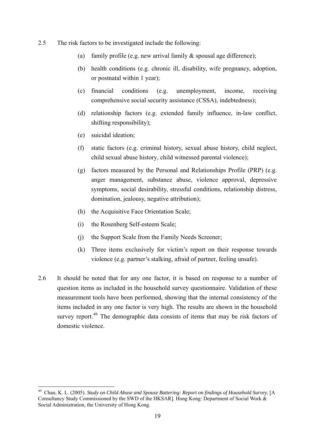- 2.5 The risk factors to be investigated include the following:
	- (a) family profile (e.g. new arrival family  $\&$  spousal age difference);
	- (b) health conditions (e.g. chronic ill, disability, wife pregnancy, adoption, or postnatal within 1 year);
	- (c) financial conditions (e.g. unemployment, income, receiving comprehensive social security assistance (CSSA), indebtedness);
	- (d) relationship factors (e.g. extended family influence, in-law conflict, shifting responsibility);
	- (e) suicidal ideation;

- (f) static factors (e.g. criminal history, sexual abuse history, child neglect, child sexual abuse history, child witnessed parental violence);
- (g) factors measured by the Personal and Relationships Profile (PRP) (e.g. anger management, substance abuse, violence approval, depressive symptoms, social desirability, stressful conditions, relationship distress, domination, jealousy, negative attribution);
- (h) the Acquisitive Face Orientation Scale;
- (i) the Rosenberg Self-esteem Scale;
- (j) the Support Scale from the Family Needs Screener;
- (k) Three items exclusively for victim's report on their response towards violence (e.g. partner's stalking, afraid of partner, feeling unsafe).
- 2.6 It should be noted that for any one factor, it is based on response to a number of question items as included in the household survey questionnaire. Validation of these measurement tools have been performed, showing that the internal consistency of the items included in any one factor is very high. The results are shown in the household survey report.<sup> $49$ </sup> The demographic data consists of items that may be risk factors of domestic violence.

<span id="page-19-0"></span><sup>&</sup>lt;sup>49</sup> Chan, K. L. (2005). *Study on Child Abuse and Spouse Battering: Report on findings of Household Survey.* [A Consultancy Study Commissioned by the SWD of the HKSAR]. Hong Kong: Department of Social Work & Social Administration, the University of Hong Kong.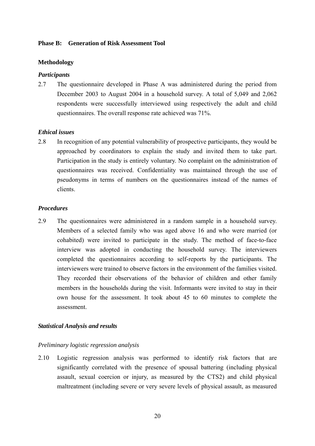## **Phase B: Generation of Risk Assessment Tool**

## **Methodology**

## *Participants*

2.7 The questionnaire developed in Phase A was administered during the period from December 2003 to August 2004 in a household survey. A total of 5,049 and 2,062 respondents were successfully interviewed using respectively the adult and child questionnaires. The overall response rate achieved was 71%.

## *Ethical issues*

2.8 In recognition of any potential vulnerability of prospective participants, they would be approached by coordinators to explain the study and invited them to take part. Participation in the study is entirely voluntary. No complaint on the administration of questionnaires was received. Confidentiality was maintained through the use of pseudonyms in terms of numbers on the questionnaires instead of the names of clients.

## *Procedures*

2.9 The questionnaires were administered in a random sample in a household survey. Members of a selected family who was aged above 16 and who were married (or cohabited) were invited to participate in the study. The method of face-to-face interview was adopted in conducting the household survey. The interviewers completed the questionnaires according to self-reports by the participants. The interviewers were trained to observe factors in the environment of the families visited. They recorded their observations of the behavior of children and other family members in the households during the visit. Informants were invited to stay in their own house for the assessment. It took about 45 to 60 minutes to complete the assessment.

# *Statistical Analysis and results*

#### *Preliminary logistic regression analysis*

2.10 Logistic regression analysis was performed to identify risk factors that are significantly correlated with the presence of spousal battering (including physical assault, sexual coercion or injury, as measured by the CTS2) and child physical maltreatment (including severe or very severe levels of physical assault, as measured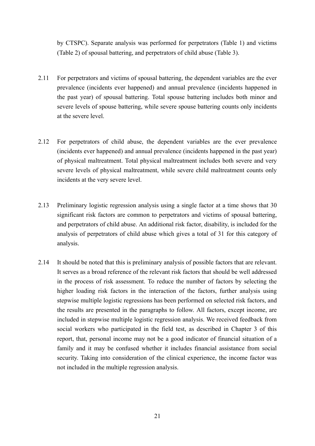by CTSPC). Separate analysis was performed for perpetrators (Table 1) and victims (Table 2) of spousal battering, and perpetrators of child abuse (Table 3).

- 2.11 For perpetrators and victims of spousal battering, the dependent variables are the ever prevalence (incidents ever happened) and annual prevalence (incidents happened in the past year) of spousal battering. Total spouse battering includes both minor and severe levels of spouse battering, while severe spouse battering counts only incidents at the severe level.
- 2.12 For perpetrators of child abuse, the dependent variables are the ever prevalence (incidents ever happened) and annual prevalence (incidents happened in the past year) of physical maltreatment. Total physical maltreatment includes both severe and very severe levels of physical maltreatment, while severe child maltreatment counts only incidents at the very severe level.
- 2.13 Preliminary logistic regression analysis using a single factor at a time shows that 30 significant risk factors are common to perpetrators and victims of spousal battering, and perpetrators of child abuse. An additional risk factor, disability, is included for the analysis of perpetrators of child abuse which gives a total of 31 for this category of analysis.
- 2.14 It should be noted that this is preliminary analysis of possible factors that are relevant. It serves as a broad reference of the relevant risk factors that should be well addressed in the process of risk assessment. To reduce the number of factors by selecting the higher loading risk factors in the interaction of the factors, further analysis using stepwise multiple logistic regressions has been performed on selected risk factors, and the results are presented in the paragraphs to follow. All factors, except income, are included in stepwise multiple logistic regression analysis. We received feedback from social workers who participated in the field test, as described in Chapter 3 of this report, that, personal income may not be a good indicator of financial situation of a family and it may be confused whether it includes financial assistance from social security. Taking into consideration of the clinical experience, the income factor was not included in the multiple regression analysis.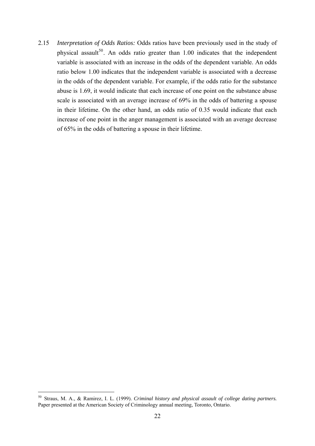2.15 *Interpretation of Odds Ratios:* Odds ratios have been previously used in the study of physical assault<sup>[50](#page-19-0)</sup>. An odds ratio greater than  $1.00$  indicates that the independent variable is associated with an increase in the odds of the dependent variable. An odds ratio below 1.00 indicates that the independent variable is associated with a decrease in the odds of the dependent variable. For example, if the odds ratio for the substance abuse is 1.69, it would indicate that each increase of one point on the substance abuse scale is associated with an average increase of 69% in the odds of battering a spouse in their lifetime. On the other hand, an odds ratio of 0.35 would indicate that each increase of one point in the anger management is associated with an average decrease of 65% in the odds of battering a spouse in their lifetime.

<span id="page-22-0"></span><sup>50</sup> Straus, M. A., & Ramirez, I. L. (1999). *Criminal history and physical assault of college dating partners.* Paper presented at the American Society of Criminology annual meeting, Toronto, Ontario.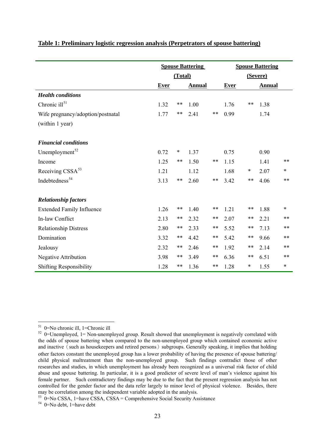|                                   | <b>Spouse Battering</b> |         |        | <b>Spouse Battering</b> |             |       |               |        |
|-----------------------------------|-------------------------|---------|--------|-------------------------|-------------|-------|---------------|--------|
|                                   |                         | (Total) |        |                         | (Severe)    |       |               |        |
|                                   | Ever                    |         | Annual |                         | <b>Ever</b> |       | <b>Annual</b> |        |
| <b>Health</b> conditions          |                         |         |        |                         |             |       |               |        |
| Chronic ill <sup>51</sup>         | 1.32                    | $***$   | 1.00   |                         | 1.76        | $***$ | 1.38          |        |
| Wife pregnancy/adoption/postnatal | 1.77                    | **      | 2.41   | **                      | 0.99        |       | 1.74          |        |
| (within 1 year)                   |                         |         |        |                         |             |       |               |        |
| <b>Financial conditions</b>       |                         |         |        |                         |             |       |               |        |
| Unemployment <sup>52</sup>        | 0.72                    | $\ast$  | 1.37   |                         | 0.75        |       | 0.90          |        |
| Income                            | 1.25                    | **      | 1.50   | **                      | 1.15        |       | 1.41          | **     |
| Receiving CSSA <sup>53</sup>      | 1.21                    |         | 1.12   |                         | 1.68        | *     | 2.07          | *      |
| Indebtedness <sup>54</sup>        | 3.13                    | **      | 2.60   | **                      | 3.42        | **    | 4.06          | **     |
| <b>Relationship factors</b>       |                         |         |        |                         |             |       |               |        |
| <b>Extended Family Influence</b>  | 1.26                    | **      | 1.40   | **                      | 1.21        | **    | 1.88          | *      |
| In-law Conflict                   | 2.13                    | **      | 2.32   | **                      | 2.07        | **    | 2.21          | **     |
| <b>Relationship Distress</b>      | 2.80                    | **      | 2.33   | **                      | 5.52        | $***$ | 7.13          | $***$  |
| Domination                        | 3.32                    | **      | 4.42   | **                      | 5.42        | **    | 9.66          | **     |
| Jealousy                          | 2.32                    | $***$   | 2.46   | **                      | 1.92        | **    | 2.14          | **     |
| <b>Negative Attribution</b>       | 3.98                    | **      | 3.49   | **                      | 6.36        | **    | 6.51          | **     |
| <b>Shifting Responsibility</b>    | 1.28                    | **      | 1.36   | **                      | 1.28        | *     | 1.55          | $\ast$ |

#### **Table 1: Preliminary logistic regression analysis (Perpetrators of spouse battering)**

<sup>&</sup>lt;u>.</u> 51 0=No chronic ill, 1=Chronic ill

<span id="page-23-3"></span><span id="page-23-0"></span> $52$  0=Unemployed, 1 = Non-unemployed group. Result showed that unemployment is negatively correlated with the odds of spouse battering when compared to the non-unemployed group which contained economic active and inactive (such as housekeepers and retired persons) subgroups. Generally speaking, it implies that holding other factors constant the unemployed group has a lower probability of having the presence of spouse battering/ child physical maltreatment than the non-unemployed group. Such findings contradict those of other researches and studies, in which unemployment has already been recognized as a universal risk factor of child abuse and spouse battering. In particular, it is a good predictor of severe level of man's violence against his female partner. Such contradictory findings may be due to the fact that the present regression analysis has not controlled for the gender factor and the data refer largely to minor level of physical violence. Besides, there may be correlation among the independent variable adopted in the analysis.

<span id="page-23-1"></span> $53$  0=No CSSA, 1=have CSSA, CSSA = Comprehensive Social Security Assistance

<span id="page-23-2"></span> $54$  0=No debt, 1=have debt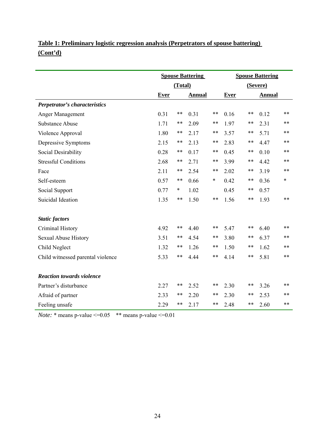# **Table 1: Preliminary logistic regression analysis (Perpetrators of spouse battering) (Cont'd)**

|                                   | <b>Spouse Battering</b> |         |               |    | <b>Spouse Battering</b> |    |               |       |
|-----------------------------------|-------------------------|---------|---------------|----|-------------------------|----|---------------|-------|
|                                   |                         | (Total) |               |    | (Severe)                |    |               |       |
|                                   | <b>Ever</b>             |         | <b>Annual</b> |    | <b>Ever</b>             |    | <b>Annual</b> |       |
| Perpetrator's characteristics     |                         |         |               |    |                         |    |               |       |
| Anger Management                  | 0.31                    | **      | 0.31          | ** | 0.16                    | ** | 0.12          | $***$ |
| <b>Substance Abuse</b>            | 1.71                    | **      | 2.09          | ** | 1.97                    | ** | 2.31          | **    |
| Violence Approval                 | 1.80                    | **      | 2.17          | ** | 3.57                    | ** | 5.71          | $***$ |
| Depressive Symptoms               | 2.15                    | **      | 2.13          | ** | 2.83                    | ** | 4.47          | $***$ |
| Social Desirability               | 0.28                    | **      | 0.17          | ** | 0.45                    | ** | 0.10          | $***$ |
| <b>Stressful Conditions</b>       | 2.68                    | **      | 2.71          | ** | 3.99                    | ** | 4.42          | **    |
| Face                              | 2.11                    | **      | 2.54          | ** | 2.02                    | ** | 3.19          | **    |
| Self-esteem                       | 0.57                    | **      | 0.66          | *  | 0.42                    | ** | 0.36          | *     |
| Social Support                    | 0.77                    | $\ast$  | 1.02          |    | 0.45                    | ** | 0.57          |       |
| Suicidal Ideation                 | 1.35                    | **      | 1.50          | ** | 1.56                    | ** | 1.93          | **    |
|                                   |                         |         |               |    |                         |    |               |       |
| <b>Static factors</b>             |                         |         |               |    |                         |    |               |       |
| Criminal History                  | 4.92                    | **      | 4.40          | ** | 5.47                    | ** | 6.40          | $***$ |
| <b>Sexual Abuse History</b>       | 3.51                    | **      | 4.54          | ** | 3.80                    | ** | 6.37          | $***$ |
| Child Neglect                     | 1.32                    | **      | 1.26          | ** | 1.50                    | ** | 1.62          | $***$ |
| Child witnessed parental violence | 5.33                    | **      | 4.44          | ** | 4.14                    | ** | 5.81          | $***$ |
| <b>Reaction towards violence</b>  |                         |         |               |    |                         |    |               |       |
| Partner's disturbance             | 2.27                    | **      | 2.52          | ** | 2.30                    | ** | 3.26          | **    |
| Afraid of partner                 | 2.33                    | **      | 2.20          | ** | 2.30                    | ** | 2.53          | **    |
| Feeling unsafe                    | 2.29                    | **      | 2.17          | ** | 2.48                    | ** | 2.60          | $***$ |

*Note:*  $*$  means p-value  $\leq 0.05$   $**$  means p-value  $\leq 0.01$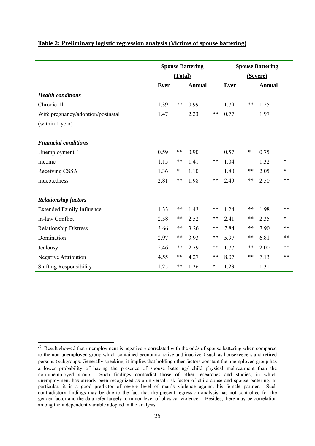|                                   | <b>Spouse Battering</b> |         |               | <b>Spouse Battering</b> |             |        |               |        |
|-----------------------------------|-------------------------|---------|---------------|-------------------------|-------------|--------|---------------|--------|
|                                   |                         | (Total) |               |                         | (Severe)    |        |               |        |
|                                   | <b>Ever</b>             |         | <b>Annual</b> |                         | <b>Ever</b> |        | <b>Annual</b> |        |
| <b>Health conditions</b>          |                         |         |               |                         |             |        |               |        |
| Chronic ill                       | 1.39                    | **      | 0.99          |                         | 1.79        | **     | 1.25          |        |
| Wife pregnancy/adoption/postnatal | 1.47                    |         | 2.23          | $***$                   | 0.77        |        | 1.97          |        |
| (within 1 year)                   |                         |         |               |                         |             |        |               |        |
| <b>Financial conditions</b>       |                         |         |               |                         |             |        |               |        |
| Unemployment <sup>55</sup>        | 0.59                    | **      | 0.90          |                         | 0.57        | $\ast$ | 0.75          |        |
| Income                            | 1.15                    | $***$   | 1.41          | **                      | 1.04        |        | 1.32          | $\ast$ |
| Receiving CSSA                    | 1.36                    | *       | 1.10          |                         | 1.80        | **     | 2.05          | $\ast$ |
| Indebtedness                      | 2.81                    | $***$   | 1.98          | $***$                   | 2.49        | $***$  | 2.50          | $***$  |
| <b>Relationship factors</b>       |                         |         |               |                         |             |        |               |        |
| <b>Extended Family Influence</b>  | 1.33                    | **      | 1.43          | **                      | 1.24        | **     | 1.98          | $***$  |
| In-law Conflict                   | 2.58                    | **      | 2.52          | $***$                   | 2.41        | **     | 2.35          | $\ast$ |
| <b>Relationship Distress</b>      | 3.66                    | **      | 3.26          | **                      | 7.84        | $***$  | 7.90          | **     |
| Domination                        | 2.97                    | **      | 3.93          | $***$                   | 5.97        | **     | 6.81          | **     |
| Jealousy                          | 2.46                    | **      | 2.79          | $***$                   | 1.77        | **     | 2.00          | **     |
| <b>Negative Attribution</b>       | 4.55                    | **      | 4.27          | **                      | 8.07        | **     | 7.13          | **     |
| <b>Shifting Responsibility</b>    | 1.25                    | **      | 1.26          | $\ast$                  | 1.23        |        | 1.31          |        |

#### **Table 2: Preliminary logistic regression analysis (Victims of spouse battering)**

<span id="page-25-0"></span><sup>&</sup>lt;sup>55</sup> Result showed that unemployment is negatively correlated with the odds of spouse battering when compared to the non-unemployed group which contained economic active and inactive (such as housekeepers and retired persons)subgroups. Generally speaking, it implies that holding other factors constant the unemployed group has a lower probability of having the presence of spouse battering/ child physical maltreatment than the non-unemployed group. Such findings contradict those of other researches and studies, in which unemployment has already been recognized as a universal risk factor of child abuse and spouse battering. In particular, it is a good predictor of severe level of man's violence against his female partner. Such contradictory findings may be due to the fact that the present regression analysis has not controlled for the gender factor and the data refer largely to minor level of physical violence. Besides, there may be correlation among the independent variable adopted in the analysis.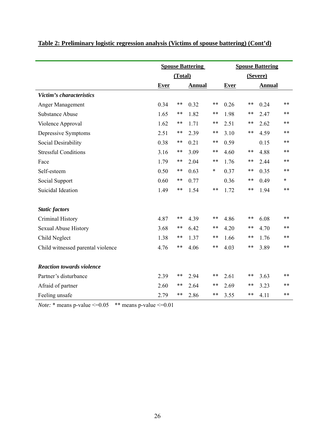|                                   | <b>Spouse Battering</b> |         |               |        | <b>Spouse Battering</b> |    |               |        |
|-----------------------------------|-------------------------|---------|---------------|--------|-------------------------|----|---------------|--------|
|                                   |                         | (Total) |               |        | (Severe)                |    |               |        |
|                                   | <b>Ever</b>             |         | <b>Annual</b> |        | <b>Ever</b>             |    | <b>Annual</b> |        |
| Victim's characteristics          |                         |         |               |        |                         |    |               |        |
| Anger Management                  | 0.34                    | **      | 0.32          | **     | 0.26                    | ** | 0.24          | $***$  |
| <b>Substance Abuse</b>            | 1.65                    | $***$   | 1.82          | **     | 1.98                    | ** | 2.47          | **     |
| Violence Approval                 | 1.62                    | **      | 1.71          | **     | 2.51                    | ** | 2.62          | **     |
| Depressive Symptoms               | 2.51                    | **      | 2.39          | **     | 3.10                    | ** | 4.59          | $***$  |
| Social Desirability               | 0.38                    | **      | 0.21          | **     | 0.59                    |    | 0.15          | $***$  |
| <b>Stressful Conditions</b>       | 3.16                    | **      | 3.09          | **     | 4.60                    | ** | 4.88          | $***$  |
| Face                              | 1.79                    | **      | 2.04          | **     | 1.76                    | ** | 2.44          | **     |
| Self-esteem                       | 0.50                    | **      | 0.63          | $\ast$ | 0.37                    | ** | 0.35          | $***$  |
| Social Support                    | 0.60                    | **      | 0.77          |        | 0.36                    | ** | 0.49          | $\ast$ |
| Suicidal Ideation                 | 1.49                    | **      | 1.54          | **     | 1.72                    | ** | 1.94          | $***$  |
| <b>Static factors</b>             |                         |         |               |        |                         |    |               |        |
| Criminal History                  | 4.87                    | **      | 4.39          | **     | 4.86                    | ** | 6.08          | **     |
| <b>Sexual Abuse History</b>       | 3.68                    | **      | 6.42          | **     | 4.20                    | ** | 4.70          | $***$  |
| Child Neglect                     | 1.38                    | **      | 1.37          | **     | 1.66                    | ** | 1.76          | $***$  |
| Child witnessed parental violence | 4.76                    | $***$   | 4.06          | **     | 4.03                    | ** | 3.89          | $***$  |
| <b>Reaction towards violence</b>  |                         |         |               |        |                         |    |               |        |
| Partner's disturbance             | 2.39                    | **      | 2.94          | **     | 2.61                    | ** | 3.63          | $***$  |
| Afraid of partner                 | 2.60                    | **      | 2.64          | **     | 2.69                    | ** | 3.23          | $***$  |
| Feeling unsafe                    | 2.79                    | **      | 2.86          | **     | 3.55                    | ** | 4.11          | $***$  |

# **Table 2: Preliminary logistic regression analysis (Victims of spouse battering) (Cont'd)**

*Note:*  $*$  means p-value  $\leq 0.05$   $**$  means p-value  $\leq 0.01$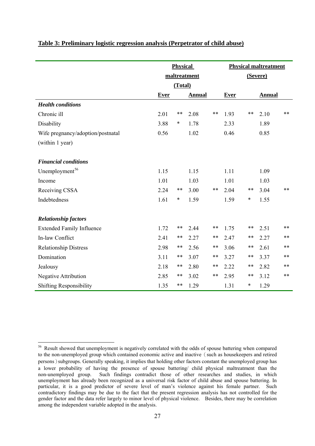|                                   | <b>Physical</b> |         |               | <b>Physical maltreatment</b> |             |        |               |       |
|-----------------------------------|-----------------|---------|---------------|------------------------------|-------------|--------|---------------|-------|
|                                   | maltreatment    |         |               | (Severe)                     |             |        |               |       |
|                                   |                 | (Total) |               |                              |             |        |               |       |
|                                   | <b>Ever</b>     |         | <b>Annual</b> |                              | <b>Ever</b> |        | <b>Annual</b> |       |
| <b>Health conditions</b>          |                 |         |               |                              |             |        |               |       |
| Chronic ill                       | 2.01            | **      | 2.08          | **                           | 1.93        | **     | 2.10          | **    |
| Disability                        | 3.88            | $\ast$  | 1.78          |                              | 2.33        |        | 1.89          |       |
| Wife pregnancy/adoption/postnatal | 0.56            |         | 1.02          |                              | 0.46        |        | 0.85          |       |
| (within 1 year)                   |                 |         |               |                              |             |        |               |       |
|                                   |                 |         |               |                              |             |        |               |       |
| <b>Financial conditions</b>       |                 |         |               |                              |             |        |               |       |
| Unemployment <sup>56</sup>        | 1.15            |         | 1.15          |                              | 1.11        |        | 1.09          |       |
| Income                            | 1.01            |         | 1.03          |                              | 1.01        |        | 1.03          |       |
| Receiving CSSA                    | 2.24            | **      | 3.00          | **                           | 2.04        | **     | 3.04          | $***$ |
| Indebtedness                      | 1.61            | $\ast$  | 1.59          |                              | 1.59        | *      | 1.55          |       |
|                                   |                 |         |               |                              |             |        |               |       |
| <b>Relationship factors</b>       |                 |         |               |                              |             |        |               |       |
| <b>Extended Family Influence</b>  | 1.72            | **      | 2.44          | **                           | 1.75        | **     | 2.51          | **    |
| In-law Conflict                   | 2.41            | **      | 2.27          | **                           | 2.47        | **     | 2.27          | **    |
| <b>Relationship Distress</b>      | 2.98            | **      | 2.56          | **                           | 3.06        | **     | 2.61          | **    |
| Domination                        | 3.11            | **      | 3.07          | **                           | 3.27        | **     | 3.37          | $***$ |
| Jealousy                          | 2.18            | **      | 2.80          | **                           | 2.22        | **     | 2.82          | **    |
| <b>Negative Attribution</b>       | 2.85            | **      | 3.02          | **                           | 2.95        | **     | 3.12          | **    |
| <b>Shifting Responsibility</b>    | 1.35            | **      | 1.29          |                              | 1.31        | $\ast$ | 1.29          |       |

#### **Table 3: Preliminary logistic regression analysis (Perpetrator of child abuse)**

<span id="page-27-0"></span><sup>&</sup>lt;sup>56</sup> Result showed that unemployment is negatively correlated with the odds of spouse battering when compared to the non-unemployed group which contained economic active and inactive (such as housekeepers and retired persons)subgroups. Generally speaking, it implies that holding other factors constant the unemployed group has a lower probability of having the presence of spouse battering/ child physical maltreatment than the non-unemployed group. Such findings contradict those of other researches and studies, in which unemployment has already been recognized as a universal risk factor of child abuse and spouse battering. In particular, it is a good predictor of severe level of man's violence against his female partner. Such contradictory findings may be due to the fact that the present regression analysis has not controlled for the gender factor and the data refer largely to minor level of physical violence. Besides, there may be correlation among the independent variable adopted in the analysis.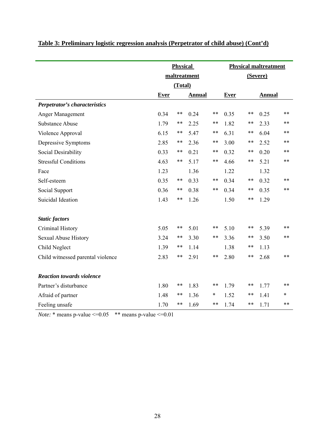|                                   | <b>Physical</b> |         |               |        | <b>Physical maltreatment</b> |    |               |       |
|-----------------------------------|-----------------|---------|---------------|--------|------------------------------|----|---------------|-------|
|                                   |                 |         | maltreatment  |        | (Severe)                     |    |               |       |
|                                   |                 | (Total) |               |        |                              |    |               |       |
|                                   | <b>Ever</b>     |         | <b>Annual</b> |        | <b>Ever</b>                  |    | <b>Annual</b> |       |
| Perpetrator's characteristics     |                 |         |               |        |                              |    |               |       |
| Anger Management                  | 0.34            | $***$   | 0.24          | **     | 0.35                         | ** | 0.25          | **    |
| <b>Substance Abuse</b>            | 1.79            | **      | 2.25          | **     | 1.82                         | ** | 2.33          | **    |
| Violence Approval                 | 6.15            | $***$   | 5.47          | **     | 6.31                         | ** | 6.04          | **    |
| Depressive Symptoms               | 2.85            | $***$   | 2.36          | **     | 3.00                         | ** | 2.52          | $***$ |
| Social Desirability               | 0.33            | **      | 0.21          | **     | 0.32                         | ** | 0.20          | **    |
| <b>Stressful Conditions</b>       | 4.63            | **      | 5.17          | **     | 4.66                         | ** | 5.21          | **    |
| Face                              | 1.23            |         | 1.36          |        | 1.22                         |    | 1.32          |       |
| Self-esteem                       | 0.35            | **      | 0.33          | **     | 0.34                         | ** | 0.32          | **    |
| Social Support                    | 0.36            | **      | 0.38          | **     | 0.34                         | ** | 0.35          | **    |
| Suicidal Ideation                 | 1.43            | **      | 1.26          |        | 1.50                         | ** | 1.29          |       |
| <b>Static factors</b>             |                 |         |               |        |                              |    |               |       |
| Criminal History                  | 5.05            | $***$   | 5.01          | **     | 5.10                         | ** | 5.39          | **    |
| <b>Sexual Abuse History</b>       | 3.24            | **      | 3.30          | **     | 3.36                         | ** | 3.50          | **    |
| Child Neglect                     | 1.39            | $***$   | 1.14          |        | 1.38                         | ** | 1.13          |       |
| Child witnessed parental violence | 2.83            | **      | 2.91          | **     | 2.80                         | ** | 2.68          | **    |
| <b>Reaction towards violence</b>  |                 |         |               |        |                              |    |               |       |
| Partner's disturbance             | 1.80            | **      | 1.83          | **     | 1.79                         | ** | 1.77          | **    |
| Afraid of partner                 | 1.48            | $***$   | 1.36          | $\ast$ | 1.52                         | ** | 1.41          | *     |
| Feeling unsafe                    | 1.70            | **      | 1.69          | **     | 1.74                         | ** | 1.71          | **    |

# **Table 3: Preliminary logistic regression analysis (Perpetrator of child abuse) (Cont'd)**

*Note:*  $*$  means p-value  $\leq$  0.05  $*$   $*$  means p-value  $\leq$  0.01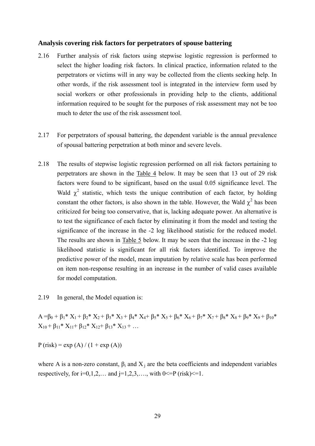#### **Analysis covering risk factors for perpetrators of spouse battering**

- 2.16 Further analysis of risk factors using stepwise logistic regression is performed to select the higher loading risk factors. In clinical practice, information related to the perpetrators or victims will in any way be collected from the clients seeking help. In other words, if the risk assessment tool is integrated in the interview form used by social workers or other professionals in providing help to the clients, additional information required to be sought for the purposes of risk assessment may not be too much to deter the use of the risk assessment tool.
- 2.17 For perpetrators of spousal battering, the dependent variable is the annual prevalence of spousal battering perpetration at both minor and severe levels.
- 2.18 The results of stepwise logistic regression performed on all risk factors pertaining to perpetrators are shown in the Table 4 below. It may be seen that 13 out of 29 risk factors were found to be significant, based on the usual 0.05 significance level. The Wald  $\chi^2$  statistic, which tests the unique contribution of each factor, by holding constant the other factors, is also shown in the table. However, the Wald  $\chi^2$  has been criticized for being too conservative, that is, lacking adequate power. An alternative is to test the significance of each factor by eliminating it from the model and testing the significance of the increase in the -2 log likelihood statistic for the reduced model. The results are shown in Table 5 below. It may be seen that the increase in the -2 log likelihood statistic is significant for all risk factors identified. To improve the predictive power of the model, mean imputation by relative scale has been performed on item non-response resulting in an increase in the number of valid cases available for model computation.

2.19 In general, the Model equation is:

 $A = \beta_0 + \beta_1^* X_1 + \beta_2^* X_2 + \beta_3^* X_3 + \beta_4^* X_4 + \beta_5^* X_5 + \beta_6^* X_6 + \beta_7^* X_7 + \beta_8^* X_8 + \beta_9^* X_9 + \beta_{10}^*$  $X_{10} + \beta_{11} * X_{11} + \beta_{12} * X_{12} + \beta_{13} * X_{13} + ...$ 

 $P$  (risk) = exp (A) / (1 + exp (A))

where A is a non-zero constant,  $\beta_i$  and  $X_i$  are the beta coefficients and independent variables respectively, for  $i=0,1,2,...$  and  $i=1,2,3,...$ , with  $0\leq P$  (risk) $\leq 1$ .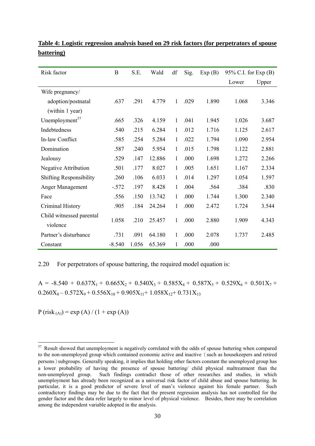| Risk factor                    | B        | S.E.  | Wald   | df           | Sig. | Exp(B) | 95% C.I. for Exp (B) |       |
|--------------------------------|----------|-------|--------|--------------|------|--------|----------------------|-------|
|                                |          |       |        |              |      |        | Lower                | Upper |
| Wife pregnancy/                |          |       |        |              |      |        |                      |       |
| adoption/postnatal             | .637     | .291  | 4.779  | $\mathbf{1}$ | .029 | 1.890  | 1.068                | 3.346 |
| (within 1 year)                |          |       |        |              |      |        |                      |       |
| Unemployment <sup>57</sup>     | .665     | .326  | 4.159  | 1            | .041 | 1.945  | 1.026                | 3.687 |
| Indebtedness                   | .540     | .215  | 6.284  | 1            | .012 | 1.716  | 1.125                | 2.617 |
| In-law Conflict                | .585     | .254  | 5.284  | 1            | .022 | 1.794  | 1.090                | 2.954 |
| Domination                     | .587     | .240  | 5.954  | $\mathbf{1}$ | .015 | 1.798  | 1.122                | 2.881 |
| Jealousy                       | .529     | .147  | 12.886 | 1            | .000 | 1.698  | 1.272                | 2.266 |
| <b>Negative Attribution</b>    | .501     | .177  | 8.027  | 1            | .005 | 1.651  | 1.167                | 2.334 |
| <b>Shifting Responsibility</b> | .260     | .106  | 6.033  | 1            | .014 | 1.297  | 1.054                | 1.597 |
| Anger Management               | $-.572$  | .197  | 8.428  | 1            | .004 | .564   | .384                 | .830  |
| Face                           | .556     | .150  | 13.742 | 1            | .000 | 1.744  | 1.300                | 2.340 |
| Criminal History               | .905     | .184  | 24.264 | 1            | .000 | 2.472  | 1.724                | 3.544 |
| Child witnessed parental       | 1.058    | .210  | 25.457 | 1            | .000 | 2.880  | 1.909                | 4.343 |
| violence                       |          |       |        |              |      |        |                      |       |
| Partner's disturbance          | .731     | .091  | 64.180 | 1            | .000 | 2.078  | 1.737                | 2.485 |
| Constant                       | $-8.540$ | 1.056 | 65.369 | 1            | .000 | .000   |                      |       |

**Table 4: Logistic regression analysis based on 29 risk factors (for perpetrators of spouse battering)**

#### 2.20 For perpetrators of spouse battering, the required model equation is:

 $A = -8.540 + 0.637X_1 + 0.665X_2 + 0.540X_3 + 0.585X_4 + 0.587X_5 + 0.529X_6 + 0.501X_7 +$  $0.260X_8 - 0.572X_9 + 0.556X_{10} + 0.905X_{11} + 1.058X_{12} + 0.731X_{13}$ 

<span id="page-30-0"></span> $P (risk_{(A)}) = exp (A) / (1 + exp (A))$ 

<sup>57</sup> Result showed that unemployment is negatively correlated with the odds of spouse battering when compared to the non-unemployed group which contained economic active and inactive (such as housekeepers and retired persons)subgroups. Generally speaking, it implies that holding other factors constant the unemployed group has a lower probability of having the presence of spouse battering/ child physical maltreatment than the non-unemployed group. Such findings contradict those of other researches and studies, in which unemployment has already been recognized as a universal risk factor of child abuse and spouse battering. In particular, it is a good predictor of severe level of man's violence against his female partner. Such contradictory findings may be due to the fact that the present regression analysis has not controlled for the gender factor and the data refer largely to minor level of physical violence. Besides, there may be correlation among the independent variable adopted in the analysis.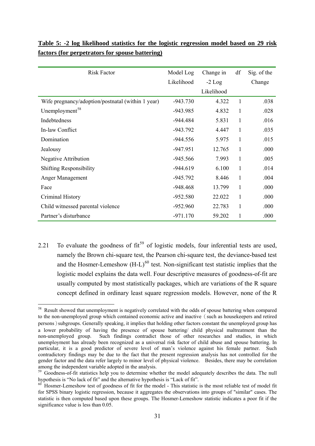| <b>Risk Factor</b>                                | Model Log  | Change in  | df           | Sig. of the |
|---------------------------------------------------|------------|------------|--------------|-------------|
|                                                   | Likelihood | $-2$ Log   |              | Change      |
|                                                   |            | Likelihood |              |             |
| Wife pregnancy/adoption/postnatal (within 1 year) | $-943.730$ | 4.322      | 1            | .038        |
| Unemployment <sup>58</sup>                        | $-943.985$ | 4.832      | 1            | .028        |
| Indebtedness                                      | $-944.484$ | 5.831      | 1            | .016        |
| In-law Conflict                                   | $-943.792$ | 4.447      | 1            | .035        |
| Domination                                        | $-944.556$ | 5.975      | 1            | .015        |
| Jealousy                                          | $-947.951$ | 12.765     | $\mathbf{1}$ | .000        |
| <b>Negative Attribution</b>                       | $-945.566$ | 7.993      | 1            | .005        |
| <b>Shifting Responsibility</b>                    | $-944.619$ | 6.100      | $\mathbf{1}$ | .014        |
| Anger Management                                  | $-945.792$ | 8.446      | 1            | .004        |
| Face                                              | $-948.468$ | 13.799     | 1            | .000        |
| Criminal History                                  | $-952.580$ | 22.022     | 1            | .000        |
| Child witnessed parental violence                 | $-952.960$ | 22.783     | $\mathbf{1}$ | .000        |
| Partner's disturbance                             | $-971.170$ | 59.202     | 1            | .000        |

# **Table 5: -2 log likelihood statistics for the logistic regression model based on 29 risk factors (for perpetrators for spouse battering)**

2.21 To evaluate the goodness of  $fit<sup>59</sup>$  $fit<sup>59</sup>$  $fit<sup>59</sup>$  of logistic models, four inferential tests are used, namely the Brown chi-square test, the Pearson chi-square test, the deviance-based test and the Hosmer-Lemeshow  $(H-L)^{60}$  $(H-L)^{60}$  $(H-L)^{60}$  test. Non-significant test statistic implies that the logistic model explains the data well. Four descriptive measures of goodness-of-fit are usually computed by most statistically packages, which are variations of the R square concept defined in ordinary least square regression models. However, none of the R

<sup>1</sup> <sup>58</sup> Result showed that unemployment is negatively correlated with the odds of spouse battering when compared to the non-unemployed group which contained economic active and inactive (such as housekeepers and retired persons)subgroups. Generally speaking, it implies that holding other factors constant the unemployed group has a lower probability of having the presence of spouse battering/ child physical maltreatment than the non-unemployed group. Such findings contradict those of other researches and studies, in which unemployment has already been recognized as a universal risk factor of child abuse and spouse battering. In particular, it is a good predictor of severe level of man's violence against his female partner. Such contradictory findings may be due to the fact that the present regression analysis has not controlled for the gender factor and the data refer largely to minor level of physical violence. Besides, there may be correlation among the independent variable adopted in the analysis.

<span id="page-31-0"></span><sup>&</sup>lt;sup>59</sup> Goodness-of-fit statistics help you to determine whether the model adequately describes the data. The null hypothesis is "No lack of fit" and the alternative hypothesis is "Lack of fit".<br><sup>60</sup> Hosmer-Lemeshow test of goodness of fit for the model - This statistic is the most reliable test of model fit

<span id="page-31-1"></span>for SPSS binary logistic regression, because it aggregates the observations into groups of "similar" cases. The statistic is then computed based upon these groups. The Hosmer-Lemeshow statistic indicates a poor fit if the significance value is less than 0.05.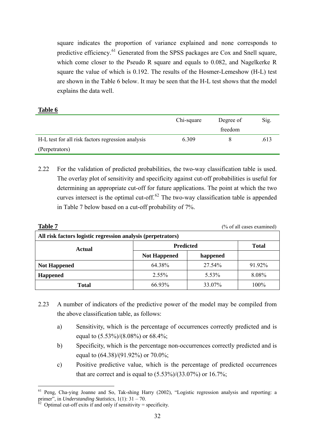square indicates the proportion of variance explained and none corresponds to predictive efficiency.61 Generated from the SPSS packages are Cox and Snell square, which come closer to the Pseudo R square and equals to 0.082, and Nagelkerke R square the value of which is 0.192. The results of the Hosmer-Lemeshow (H-L) test are shown in the Table 6 below. It may be seen that the H-L test shows that the model explains the data well.

# **Table 6**

1

|                                                   | Chi-square | Degree of | Sig. |
|---------------------------------------------------|------------|-----------|------|
|                                                   |            | freedom   |      |
| H-L test for all risk factors regression analysis | 6.309      |           | .613 |
| (Perpetrators)                                    |            |           |      |

2.22 For the validation of predicted probabilities, the two-way classification table is used. The overlay plot of sensitivity and specificity against cut-off probabilities is useful for determining an appropriate cut-off for future applications. The point at which the two curves intersect is the optimal cut-off. $62$  The two-way classification table is appended in Table 7 below based on a cut-off probability of 7%.

| <b>Table 7</b><br>(% of all cases examined)                  |                     |          |              |  |  |  |  |  |
|--------------------------------------------------------------|---------------------|----------|--------------|--|--|--|--|--|
| All risk factors logistic regression analysis (perpetrators) |                     |          |              |  |  |  |  |  |
| Actual                                                       | <b>Predicted</b>    |          | <b>Total</b> |  |  |  |  |  |
|                                                              | <b>Not Happened</b> | happened |              |  |  |  |  |  |
| <b>Not Happened</b>                                          | 64.38%              | 27.54%   | 91.92%       |  |  |  |  |  |
| <b>Happened</b>                                              | 2.55%               | 5.53%    | 8.08%        |  |  |  |  |  |
| <b>Total</b>                                                 | 66.93%              | 33.07%   | 100%         |  |  |  |  |  |

- 2.23 A number of indicators of the predictive power of the model may be compiled from the above classification table, as follows:
	- a) Sensitivity, which is the percentage of occurrences correctly predicted and is equal to (5.53%)/(8.08%) or 68.4%;
	- b) Specificity, which is the percentage non-occurrences correctly predicted and is equal to (64.38)/(91.92%) or 70.0%;
	- c) Positive predictive value, which is the percentage of predicted occurrences that are correct and is equal to  $(5.53\%/33.07\%)$  or  $16.7\%$ ;

<span id="page-32-1"></span><sup>61</sup> Peng, Cha-ying Joanne and So, Tak-shing Harry (2002), "Logistic regression analysis and reporting: a primer", in *Understanding Statistics*, 1(1): 31 – 70.<br><sup>62</sup> Optimal cut-off exits if and only if sensitivity = specificity.

<span id="page-32-0"></span>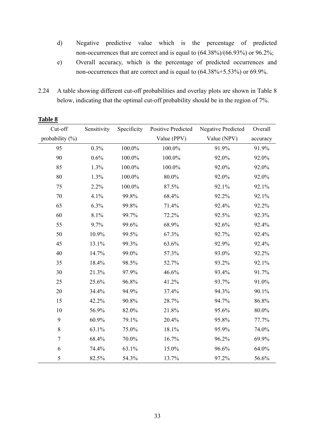- d) Negative predictive value which is the percentage of predicted non-occurrences that are correct and is equal to (64.38%)/(66.93%) or 96.2%;
- e) Overall accuracy, which is the percentage of predicted occurrences and non-occurrences that are correct and is equal to (64.38%+5.53%) or 69.9%.
- 2.24 A table showing different cut-off probabilities and overlay plots are shown in Table 8 below, indicating that the optimal cut-off probability should be in the region of 7%.

| Cut-off             | Sensitivity | Specificity | <b>Positive Predicted</b> | <b>Negative Predicted</b> | Overall  |
|---------------------|-------------|-------------|---------------------------|---------------------------|----------|
| probability $(\% )$ |             |             | Value (PPV)               | Value (NPV)               | accuracy |
| 95                  | 0.3%        | 100.0%      | 100.0%                    | 91.9%                     | 91.9%    |
| 90                  | 0.6%        | $100.0\%$   | 100.0%                    | 92.0%                     | 92.0%    |
| 85                  | 1.3%        | 100.0%      | 100.0%                    | 92.0%                     | 92.0%    |
| 80                  | 1.3%        | 100.0%      | 80.0%                     | 92.0%                     | 92.0%    |
| 75                  | 2.2%        | 100.0%      | 87.5%                     | 92.1%                     | 92.1%    |
| 70                  | 4.1%        | 99.8%       | 68.4%                     | 92.2%                     | 92.1%    |
| 65                  | 6.3%        | 99.8%       | 71.4%                     | 92.4%                     | 92.2%    |
| 60                  | 8.1%        | 99.7%       | 72.2%                     | 92.5%                     | 92.3%    |
| 55                  | 9.7%        | 99.6%       | 68.9%                     | 92.6%                     | 92.4%    |
| 50                  | 10.9%       | 99.5%       | 67.3%                     | 92.7%                     | 92.4%    |
| 45                  | 13.1%       | 99.3%       | 63.6%                     | 92.9%                     | 92.4%    |
| 40                  | 14.7%       | 99.0%       | 57.3%                     | 93.0%                     | 92.2%    |
| 35                  | 18.4%       | 98.5%       | 52.7%                     | 93.2%                     | 92.1%    |
| 30                  | 21.3%       | 97.9%       | 46.6%                     | 93.4%                     | 91.7%    |
| 25                  | 25.6%       | 96.8%       | 41.2%                     | 93.7%                     | 91.0%    |
| $20\,$              | 34.4%       | 94.9%       | 37.4%                     | 94.3%                     | 90.1%    |
| 15                  | 42.2%       | 90.8%       | 28.7%                     | 94.7%                     | 86.8%    |
| 10                  | 56.9%       | 82.0%       | 21.8%                     | 95.6%                     | 80.0%    |
| 9                   | 60.9%       | 79.1%       | 20.4%                     | 95.8%                     | 77.7%    |
| $8\,$               | 63.1%       | 75.0%       | 18.1%                     | 95.9%                     | 74.0%    |
| $\boldsymbol{7}$    | 68.4%       | 70.0%       | 16.7%                     | 96.2%                     | 69.9%    |
| 6                   | 74.4%       | 63.1%       | 15.0%                     | 96.6%                     | 64.0%    |
| 5                   | 82.5%       | 54.3%       | 13.7%                     | 97.2%                     | 56.6%    |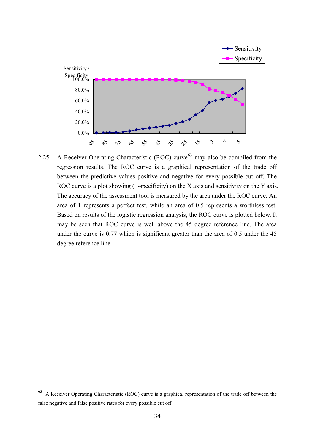

2.25 A Receiver Operating Characteristic (ROC) curve<sup>[63](#page-32-1)</sup> may also be compiled from the regression results. The ROC curve is a graphical representation of the trade off between the predictive values positive and negative for every possible cut off. The ROC curve is a plot showing (1-specificity) on the X axis and sensitivity on the Y axis. The accuracy of the assessment tool is measured by the area under the ROC curve. An area of 1 represents a perfect test, while an area of 0.5 represents a worthless test. Based on results of the logistic regression analysis, the ROC curve is plotted below. It may be seen that ROC curve is well above the 45 degree reference line. The area under the curve is 0.77 which is significant greater than the area of 0.5 under the 45 degree reference line.

<span id="page-34-0"></span><sup>63</sup> A Receiver Operating Characteristic (ROC) curve is a graphical representation of the trade off between the false negative and false positive rates for every possible cut off.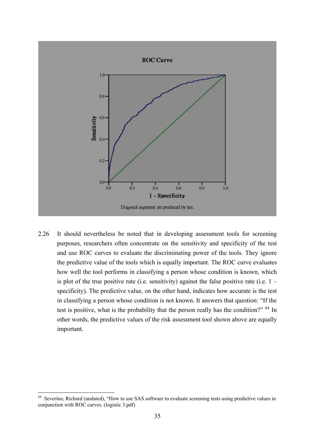

2.26 It should nevertheless be noted that in developing assessment tools for screening purposes, researchers often concentrate on the sensitivity and specificity of the test and use ROC curves to evaluate the discriminating power of the tools. They ignore the predictive value of the tools which is equally important. The ROC curve evaluates how well the tool performs in classifying a person whose condition is known, which is plot of the true positive rate (i.e. sensitivity) against the false positive rate (i.e.  $1$ specificity). The predictive value, on the other hand, indicates how accurate is the test in classifying a person whose condition is not known. It answers that question: "If the test is positive, what is the probability that the person really has the condition?"  $64$  In other words, the predictive values of the risk assessment tool shown above are equally important.

<u>.</u>

<sup>&</sup>lt;sup>64</sup> Severino, Richard (undated), "How to use SAS software to evaluate screening tests using predictive values in conjunction with ROC curves. (logistic 3.pdf)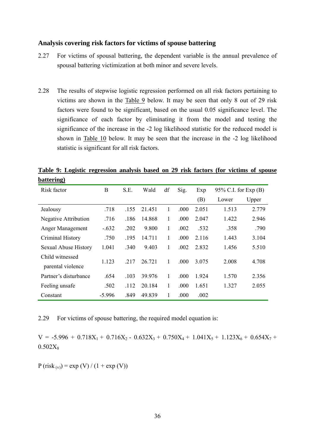#### **Analysis covering risk factors for victims of spouse battering**

- 2.27 For victims of spousal battering, the dependent variable is the annual prevalence of spousal battering victimization at both minor and severe levels.
- 2.28 The results of stepwise logistic regression performed on all risk factors pertaining to victims are shown in the Table 9 below. It may be seen that only 8 out of 29 risk factors were found to be significant, based on the usual 0.05 significance level. The significance of each factor by eliminating it from the model and testing the significance of the increase in the -2 log likelihood statistic for the reduced model is shown in Table 10 below. It may be seen that the increase in the -2 log likelihood statistic is significant for all risk factors.

**Table 9: Logistic regression analysis based on 29 risk factors (for victims of spouse battering)**

| Risk factor                          | B        | S.E. | Wald   | df | Sig. | Exp   | 95% C.I. for $Exp(B)$ |       |
|--------------------------------------|----------|------|--------|----|------|-------|-----------------------|-------|
|                                      |          |      |        |    |      | (B)   | Lower                 | Upper |
| Jealousy                             | .718     | .155 | 21.451 | 1  | .000 | 2.051 | 1.513                 | 2.779 |
| <b>Negative Attribution</b>          | .716     | .186 | 14.868 | 1  | .000 | 2.047 | 1.422                 | 2.946 |
| Anger Management                     | $-.632$  | .202 | 9.800  | 1  | .002 | .532  | .358                  | .790  |
| Criminal History                     | .750     | .195 | 14.711 | 1  | .000 | 2.116 | 1.443                 | 3.104 |
| <b>Sexual Abuse History</b>          | 1.041    | .340 | 9.403  | 1  | .002 | 2.832 | 1.456                 | 5.510 |
| Child witnessed<br>parental violence | 1.123    | .217 | 26.721 | 1  | .000 | 3.075 | 2.008                 | 4.708 |
| Partner's disturbance                | .654     | .103 | 39.976 | 1  | .000 | 1.924 | 1.570                 | 2.356 |
| Feeling unsafe                       | .502     | .112 | 20.184 | 1  | .000 | 1.651 | 1.327                 | 2.055 |
| Constant                             | $-5.996$ | .849 | 49.839 | 1  | .000 | .002  |                       |       |

2.29 For victims of spouse battering, the required model equation is:

 $V = -5.996 + 0.718X_1 + 0.716X_2 - 0.632X_3 + 0.750X_4 + 1.041X_5 + 1.123X_6 + 0.654X_7 +$  $0.502X_8$ 

 $P (risk_{(v)}) = exp (V) / (1 + exp (V))$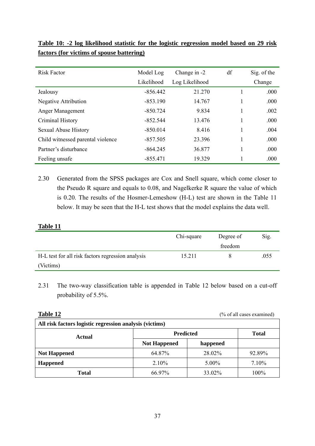| <b>Risk Factor</b>                | Model Log  | Change in -2   | df | Sig. of the |
|-----------------------------------|------------|----------------|----|-------------|
|                                   | Likelihood | Log Likelihood |    | Change      |
| Jealousy                          | $-856.442$ | 21.270         |    | .000        |
| <b>Negative Attribution</b>       | $-853.190$ | 14.767         |    | .000        |
| Anger Management                  | $-850.724$ | 9.834          |    | .002        |
| Criminal History                  | $-852.544$ | 13.476         |    | .000        |
| Sexual Abuse History              | $-850.014$ | 8.416          |    | .004        |
| Child witnessed parental violence | $-857.505$ | 23.396         |    | .000        |
| Partner's disturbance             | $-864.245$ | 36.877         |    | .000        |
| Feeling unsafe                    | $-855.471$ | 19.329         |    | .000        |

|  |  |  |                                           |  | Table 10: -2 log likelihood statistic for the logistic regression model based on 29 risk |  |  |  |
|--|--|--|-------------------------------------------|--|------------------------------------------------------------------------------------------|--|--|--|
|  |  |  | factors (for victims of spouse battering) |  |                                                                                          |  |  |  |

2.30 Generated from the SPSS packages are Cox and Snell square, which come closer to the Pseudo R square and equals to 0.08, and Nagelkerke R square the value of which is 0.20. The results of the Hosmer-Lemeshow (H-L) test are shown in the Table 11 below. It may be seen that the H-L test shows that the model explains the data well.

#### **Table 11**

|                                                   | Chi-square<br>Degree of |         | Sig. |
|---------------------------------------------------|-------------------------|---------|------|
|                                                   |                         | freedom |      |
| H-L test for all risk factors regression analysis | 15.211                  |         | .055 |
| (Victims)                                         |                         |         |      |

2.31 The two-way classification table is appended in Table 12 below based on a cut-off probability of 5.5%.

Table 12 (% of all cases examined)

| All risk factors logistic regression analysis (victims) |                     |              |        |  |
|---------------------------------------------------------|---------------------|--------------|--------|--|
| Actual                                                  | <b>Predicted</b>    | <b>Total</b> |        |  |
|                                                         | <b>Not Happened</b> | happened     |        |  |
| <b>Not Happened</b>                                     | 64.87%              | 28.02%       | 92.89% |  |
| <b>Happened</b>                                         | 2.10%               | 5.00%        | 7.10%  |  |
| <b>Total</b>                                            | 66.97%              | 33.02%       | 100%   |  |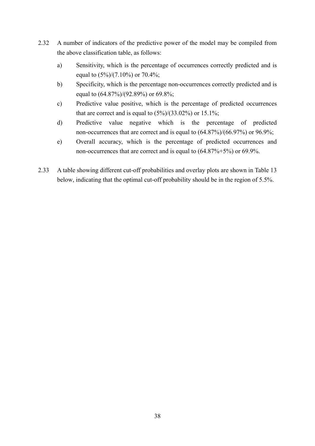- 2.32 A number of indicators of the predictive power of the model may be compiled from the above classification table, as follows:
	- a) Sensitivity, which is the percentage of occurrences correctly predicted and is equal to  $(5\%/7.10\%)$  or  $70.4\%$ ;
	- b) Specificity, which is the percentage non-occurrences correctly predicted and is equal to (64.87%)/(92.89%) or 69.8%;
	- c) Predictive value positive, which is the percentage of predicted occurrences that are correct and is equal to  $(5\%)/(33.02\%)$  or  $15.1\%$ ;
	- d) Predictive value negative which is the percentage of predicted non-occurrences that are correct and is equal to (64.87%)/(66.97%) or 96.9%;
	- e) Overall accuracy, which is the percentage of predicted occurrences and non-occurrences that are correct and is equal to (64.87%+5%) or 69.9%.
- 2.33 A table showing different cut-off probabilities and overlay plots are shown in Table 13 below, indicating that the optimal cut-off probability should be in the region of 5.5%.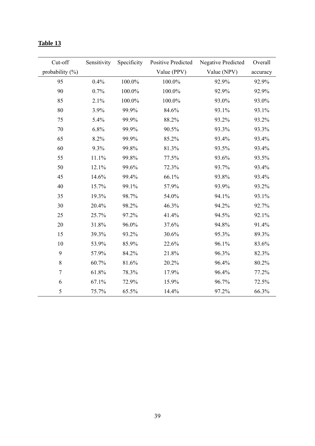| Cut-off             | Sensitivity | Specificity | <b>Positive Predicted</b> | <b>Negative Predicted</b> | Overall  |
|---------------------|-------------|-------------|---------------------------|---------------------------|----------|
| probability $(\% )$ |             |             | Value (PPV)               | Value (NPV)               | accuracy |
| 95                  | 0.4%        | 100.0%      | $100.0\%$                 | 92.9%                     | 92.9%    |
| 90                  | 0.7%        | 100.0%      | 100.0%                    | 92.9%                     | 92.9%    |
| 85                  | 2.1%        | 100.0%      | 100.0%                    | 93.0%                     | 93.0%    |
| 80                  | 3.9%        | 99.9%       | 84.6%                     | 93.1%                     | 93.1%    |
| 75                  | 5.4%        | 99.9%       | 88.2%                     | 93.2%                     | 93.2%    |
| 70                  | 6.8%        | 99.9%       | 90.5%                     | 93.3%                     | 93.3%    |
| 65                  | 8.2%        | 99.9%       | 85.2%                     | 93.4%                     | 93.4%    |
| 60                  | 9.3%        | 99.8%       | 81.3%                     | 93.5%                     | 93.4%    |
| 55                  | 11.1%       | 99.8%       | 77.5%                     | 93.6%                     | 93.5%    |
| 50                  | 12.1%       | 99.6%       | 72.3%                     | 93.7%                     | 93.4%    |
| 45                  | 14.6%       | 99.4%       | 66.1%                     | 93.8%                     | 93.4%    |
| 40                  | 15.7%       | 99.1%       | 57.9%                     | 93.9%                     | 93.2%    |
| 35                  | 19.3%       | 98.7%       | 54.0%                     | 94.1%                     | 93.1%    |
| 30                  | 20.4%       | 98.2%       | 46.3%                     | 94.2%                     | 92.7%    |
| 25                  | 25.7%       | 97.2%       | 41.4%                     | 94.5%                     | 92.1%    |
| 20                  | 31.8%       | 96.0%       | 37.6%                     | 94.8%                     | 91.4%    |
| 15                  | 39.3%       | 93.2%       | 30.6%                     | 95.3%                     | 89.3%    |
| 10                  | 53.9%       | 85.9%       | 22.6%                     | 96.1%                     | 83.6%    |
| 9                   | 57.9%       | 84.2%       | 21.8%                     | 96.3%                     | 82.3%    |
| 8                   | 60.7%       | 81.6%       | 20.2%                     | 96.4%                     | 80.2%    |
| $\boldsymbol{7}$    | 61.8%       | 78.3%       | 17.9%                     | 96.4%                     | 77.2%    |
| 6                   | 67.1%       | 72.9%       | 15.9%                     | 96.7%                     | 72.5%    |
| 5                   | 75.7%       | 65.5%       | 14.4%                     | 97.2%                     | 66.3%    |

# **Table 13**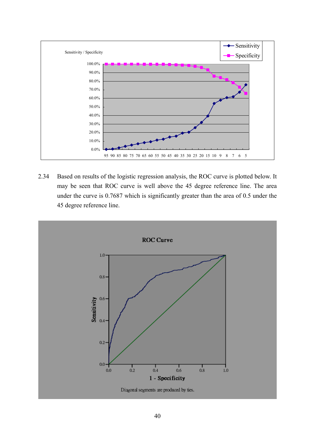

2.34 Based on results of the logistic regression analysis, the ROC curve is plotted below. It may be seen that ROC curve is well above the 45 degree reference line. The area under the curve is 0.7687 which is significantly greater than the area of 0.5 under the 45 degree reference line.

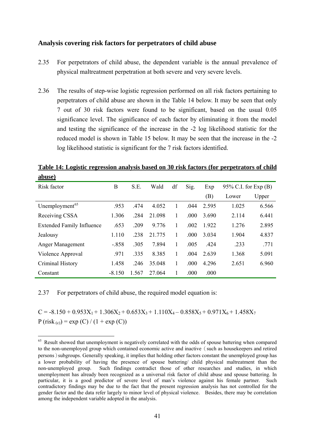#### **Analysis covering risk factors for perpetrators of child abuse**

- 2.35 For perpetrators of child abuse, the dependent variable is the annual prevalence of physical maltreatment perpetration at both severe and very severe levels.
- 2.36 The results of step-wise logistic regression performed on all risk factors pertaining to perpetrators of child abuse are shown in the Table 14 below. It may be seen that only 7 out of 30 risk factors were found to be significant, based on the usual 0.05 significance level. The significance of each factor by eliminating it from the model and testing the significance of the increase in the -2 log likelihood statistic for the reduced model is shown in Table 15 below. It may be seen that the increase in the -2 log likelihood statistic is significant for the 7 risk factors identified.

**Table 14: Logistic regression analysis based on 30 risk factors (for perpetrators of child abuse)**

| Risk factor                      | B        | S.E.  | Wald   | df | Sig. | Exp     | $95\%$ C.I. for Exp (B) |       |
|----------------------------------|----------|-------|--------|----|------|---------|-------------------------|-------|
|                                  |          |       |        |    |      | (B)     | Lower                   | Upper |
| Unemployment <sup>65</sup>       | .953     | .474  | 4.052  |    | .044 | 2.595   | 1.025                   | 6.566 |
| Receiving CSSA                   | 1.306    | .284  | 21.098 |    | .000 | 3.690   | 2.114                   | 6.441 |
| <b>Extended Family Influence</b> | .653     | .209  | 9.776  |    | .002 | 1.922   | 1.276                   | 2.895 |
| Jealousy                         | 1.110    | .238  | 21.775 |    | .000 | 3 0 3 4 | 1.904                   | 4.837 |
| Anger Management                 | $-.858$  | .305  | 7.894  |    | .005 | .424    | .233                    | .771  |
| Violence Approval                | .971     | .335  | 8.385  |    | .004 | 2.639   | 1.368                   | 5.091 |
| Criminal History                 | 1.458    | .246  | 35.048 |    | .000 | 4.296   | 2.651                   | 6.960 |
| Constant                         | $-8.150$ | 1.567 | 27 064 | 1  | .000 | .000    |                         |       |

2.37 For perpetrators of child abuse, the required model equation is:

<u>.</u>

 $C = -8.150 + 0.953X_1 + 1.306X_2 + 0.653X_3 + 1.110X_4 - 0.858X_5 + 0.971X_6 + 1.458X_7$  $P (risk_{(c)}) = exp (C) / (1 + exp (C))$ 

<span id="page-41-0"></span><sup>&</sup>lt;sup>65</sup> Result showed that unemployment is negatively correlated with the odds of spouse battering when compared to the non-unemployed group which contained economic active and inactive (such as housekeepers and retired persons)subgroups. Generally speaking, it implies that holding other factors constant the unemployed group has a lower probability of having the presence of spouse battering/ child physical maltreatment than the non-unemployed group. Such findings contradict those of other researches and studies, in which unemployment has already been recognized as a universal risk factor of child abuse and spouse battering. In particular, it is a good predictor of severe level of man's violence against his female partner. Such contradictory findings may be due to the fact that the present regression analysis has not controlled for the gender factor and the data refer largely to minor level of physical violence. Besides, there may be correlation among the independent variable adopted in the analysis.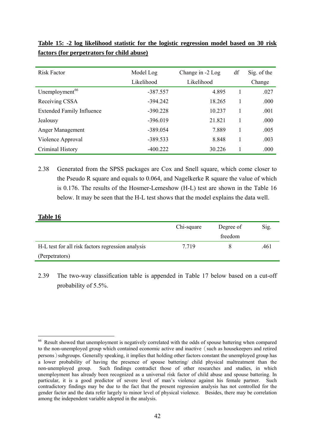| <b>Risk Factor</b>               | Model Log  | Change in -2 Log | df | Sig. of the |
|----------------------------------|------------|------------------|----|-------------|
|                                  | Likelihood | Likelihood       |    | Change      |
| Unemployment <sup>66</sup>       | $-387.557$ | 4.895            |    | .027        |
| Receiving CSSA                   | $-394.242$ | 18.265           |    | .000        |
| <b>Extended Family Influence</b> | $-390.228$ | 10.237           |    | .001        |
| Jealousy                         | $-396.019$ | 21.821           |    | .000        |
| Anger Management                 | $-389.054$ | 7.889            |    | .005        |
| Violence Approval                | $-389.533$ | 8.848            |    | .003        |
| Criminal History                 | $-400.222$ | 30.226           |    | .000        |

**Table 15: -2 log likelihood statistic for the logistic regression model based on 30 risk factors (for perpetrators for child abuse)**

2.38 Generated from the SPSS packages are Cox and Snell square, which come closer to the Pseudo R square and equals to 0.064, and Nagelkerke R square the value of which is 0.176. The results of the Hosmer-Lemeshow (H-L) test are shown in the Table 16 below. It may be seen that the H-L test shows that the model explains the data well.

#### **Table 16**

<u>.</u>

|                                                   | Chi-square | Degree of | Sig. |
|---------------------------------------------------|------------|-----------|------|
|                                                   |            | freedom   |      |
| H-L test for all risk factors regression analysis | 7 7 1 9    |           | .461 |
| (Perpetrators)                                    |            |           |      |

2.39 The two-way classification table is appended in Table 17 below based on a cut-off probability of 5.5%.

<span id="page-42-0"></span><sup>&</sup>lt;sup>66</sup> Result showed that unemployment is negatively correlated with the odds of spouse battering when compared to the non-unemployed group which contained economic active and inactive (such as housekeepers and retired persons)subgroups. Generally speaking, it implies that holding other factors constant the unemployed group has a lower probability of having the presence of spouse battering/ child physical maltreatment than the non-unemployed group. Such findings contradict those of other researches and studies, in which unemployment has already been recognized as a universal risk factor of child abuse and spouse battering. In particular, it is a good predictor of severe level of man's violence against his female partner. Such contradictory findings may be due to the fact that the present regression analysis has not controlled for the gender factor and the data refer largely to minor level of physical violence. Besides, there may be correlation among the independent variable adopted in the analysis.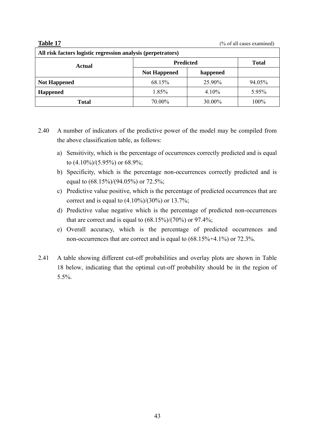#### **Table 17** (% of all cases examined)

| All risk factors logistic regression analysis (perpetrators) |                     |              |        |  |
|--------------------------------------------------------------|---------------------|--------------|--------|--|
| Actual                                                       | <b>Predicted</b>    | <b>Total</b> |        |  |
|                                                              | <b>Not Happened</b> | happened     |        |  |
| <b>Not Happened</b>                                          | 68.15%              | 25.90%       | 94.05% |  |
| <b>Happened</b>                                              | 1.85%               | 4.10%        | 5.95%  |  |
| <b>Total</b>                                                 | 70.00%              | 30.00%       | 100%   |  |

- 2.40 A number of indicators of the predictive power of the model may be compiled from the above classification table, as follows:
	- a) Sensitivity, which is the percentage of occurrences correctly predicted and is equal to (4.10%)/(5.95%) or 68.9%;
	- b) Specificity, which is the percentage non-occurrences correctly predicted and is equal to (68.15%)/(94.05%) or 72.5%;
	- c) Predictive value positive, which is the percentage of predicted occurrences that are correct and is equal to  $(4.10\%)/(30\%)$  or 13.7%;
	- d) Predictive value negative which is the percentage of predicted non-occurrences that are correct and is equal to  $(68.15\%/70\%)$  or 97.4%;
	- e) Overall accuracy, which is the percentage of predicted occurrences and non-occurrences that are correct and is equal to (68.15%+4.1%) or 72.3%.
- 2.41 A table showing different cut-off probabilities and overlay plots are shown in Table 18 below, indicating that the optimal cut-off probability should be in the region of 5.5%.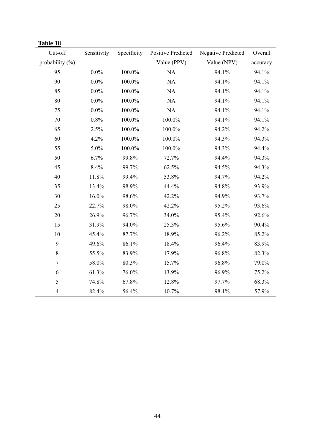| Cut-off            | Sensitivity | Specificity | <b>Positive Predicted</b> | <b>Negative Predicted</b> | Overall  |
|--------------------|-------------|-------------|---------------------------|---------------------------|----------|
| probability $(\%)$ |             |             | Value (PPV)               | Value (NPV)               | accuracy |
| 95                 | $0.0\%$     | 100.0%      | NA                        | 94.1%                     | 94.1%    |
| 90                 | $0.0\%$     | 100.0%      | NA                        | 94.1%                     | 94.1%    |
| 85                 | $0.0\%$     | 100.0%      | NA                        | 94.1%                     | 94.1%    |
| 80                 | $0.0\%$     | 100.0%      | NA                        | 94.1%                     | 94.1%    |
| 75                 | $0.0\%$     | 100.0%      | NA                        | 94.1%                     | 94.1%    |
| 70                 | 0.8%        | 100.0%      | 100.0%                    | 94.1%                     | 94.1%    |
| 65                 | 2.5%        | 100.0%      | 100.0%                    | 94.2%                     | 94.2%    |
| 60                 | 4.2%        | 100.0%      | 100.0%                    | 94.3%                     | 94.3%    |
| 55                 | 5.0%        | 100.0%      | 100.0%                    | 94.3%                     | 94.4%    |
| 50                 | 6.7%        | 99.8%       | 72.7%                     | 94.4%                     | 94.3%    |
| 45                 | 8.4%        | 99.7%       | 62.5%                     | 94.5%                     | 94.3%    |
| 40                 | 11.8%       | 99.4%       | 53.8%                     | 94.7%                     | 94.2%    |
| 35                 | 13.4%       | 98.9%       | 44.4%                     | 94.8%                     | 93.9%    |
| 30                 | 16.0%       | 98.6%       | 42.2%                     | 94.9%                     | 93.7%    |
| 25                 | 22.7%       | 98.0%       | 42.2%                     | 95.2%                     | 93.6%    |
| 20                 | 26.9%       | 96.7%       | 34.0%                     | 95.4%                     | 92.6%    |
| 15                 | 31.9%       | 94.0%       | 25.3%                     | 95.6%                     | 90.4%    |
| 10                 | 45.4%       | 87.7%       | 18.9%                     | 96.2%                     | 85.2%    |
| 9                  | 49.6%       | 86.1%       | 18.4%                     | 96.4%                     | 83.9%    |
| $\,8\,$            | 55.5%       | 83.9%       | 17.9%                     | 96.8%                     | 82.3%    |
| $\boldsymbol{7}$   | 58.0%       | 80.3%       | 15.7%                     | 96.8%                     | 79.0%    |
| 6                  | 61.3%       | 76.0%       | 13.9%                     | 96.9%                     | 75.2%    |
| 5                  | 74.8%       | 67.8%       | 12.8%                     | 97.7%                     | 68.3%    |
| $\overline{4}$     | 82.4%       | 56.4%       | 10.7%                     | 98.1%                     | 57.9%    |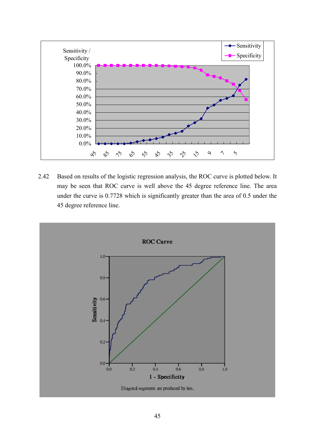

2.42 Based on results of the logistic regression analysis, the ROC curve is plotted below. It may be seen that ROC curve is well above the 45 degree reference line. The area under the curve is 0.7728 which is significantly greater than the area of 0.5 under the 45 degree reference line.

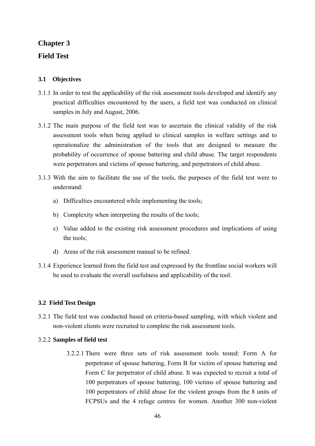# **Chapter 3 Field Test**

## **3.1 Objectives**

- 3.1.1 In order to test the applicability of the risk assessment tools developed and identify any practical difficulties encountered by the users, a field test was conducted on clinical samples in July and August, 2006.
- 3.1.2 The main purpose of the field test was to ascertain the clinical validity of the risk assessment tools when being applied to clinical samples in welfare settings and to operationalize the administration of the tools that are designed to measure the probability of occurrence of spouse battering and child abuse. The target respondents were perpetrators and victims of spouse battering, and perpetrators of child abuse.
- 3.1.3 With the aim to facilitate the use of the tools, the purposes of the field test were to understand:
	- a) Difficulties encountered while implementing the tools;
	- b) Complexity when interpreting the results of the tools;
	- c) Value added to the existing risk assessment procedures and implications of using the tools;
	- d) Areas of the risk assessment manual to be refined.
- 3.1.4 Experience learned from the field test and expressed by the frontline social workers will be used to evaluate the overall usefulness and applicability of the tool.

### **3.2 Field Test Design**

3.2.1 The field test was conducted based on criteria-based sampling, with which violent and non-violent clients were recruited to complete the risk assessment tools.

### 3.2.2 **Samples of field test**

3.2.2.1 There were three sets of risk assessment tools tested: Form A for perpetrator of spouse battering, Form B for victim of spouse battering and Form C for perpetrator of child abuse. It was expected to recruit a total of 100 perpetrators of spouse battering, 100 victims of spouse battering and 100 perpetrators of child abuse for the violent groups from the 8 units of FCPSUs and the 4 refuge centres for women. Another 300 non-violent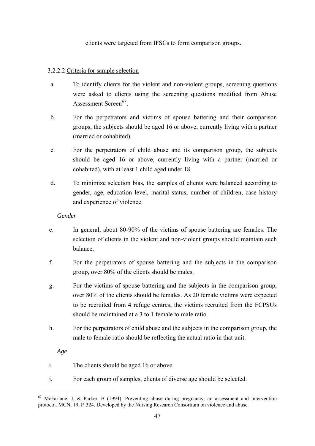clients were targeted from IFSCs to form comparison groups.

## 3.2.2.2 Criteria for sample selection

- a. To identify clients for the violent and non-violent groups, screening questions were asked to clients using the screening questions modified from Abuse Assessment Screen<sup>[67](#page-42-0)</sup>
- b. For the perpetrators and victims of spouse battering and their comparison groups, the subjects should be aged 16 or above, currently living with a partner (married or cohabited).
- c. For the perpetrators of child abuse and its comparison group, the subjects should be aged 16 or above, currently living with a partner (married or cohabited), with at least 1 child aged under 18.
- d. To minimize selection bias, the samples of clients were balanced according to gender, age, education level, marital status, number of children, case history and experience of violence.

*Gender*

- e. In general, about 80-90% of the victims of spouse battering are females. The selection of clients in the violent and non-violent groups should maintain such balance.
- f. For the perpetrators of spouse battering and the subjects in the comparison group, over 80% of the clients should be males.
- g. For the victims of spouse battering and the subjects in the comparison group, over 80% of the clients should be females. As 20 female victims were expected to be recruited from 4 refuge centres, the victims recruited from the FCPSUs should be maintained at a 3 to 1 female to male ratio.
- h. For the perpetrators of child abuse and the subjects in the comparison group, the male to female ratio should be reflecting the actual ratio in that unit.

*Age*

1

- i. The clients should be aged 16 or above.
- j. For each group of samples, clients of diverse age should be selected.

<sup>67</sup> McFarlane, J. & Parker, B (1994). Preventing abuse during pregnancy: an assessment and intervention protocol. MCN, 19, P. 324. Developed by the Nursing Research Consortium on violence and abuse.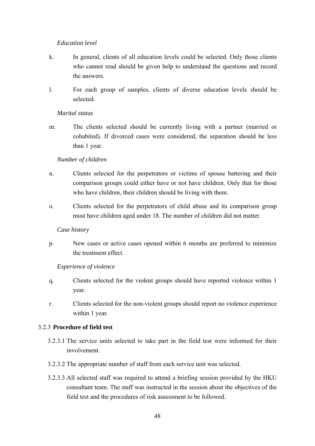#### *Education level*

- k. In general, clients of all education levels could be selected. Only those clients who cannot read should be given help to understand the questions and record the answers.
- l. For each group of samples, clients of diverse education levels should be selected.

#### *Marital status*

m. The clients selected should be currently living with a partner (married or cohabited). If divorced cases were considered, the separation should be less than 1 year.

#### *Number of children*

- n. Clients selected for the perpetrators or victims of spouse battering and their comparison groups could either have or not have children. Only that for those who have children, their children should be living with them.
- o. Clients selected for the perpetrators of child abuse and its comparison group must have children aged under 18. The number of children did not matter.

### *Case history*

p. New cases or active cases opened within 6 months are preferred to minimize the treatment effect.

### *Experience of violence*

- q. Clients selected for the violent groups should have reported violence within 1 year.
- r. Clients selected for the non-violent groups should report no violence experience within 1 year.

### 3.2.3 **Procedure of field test**

- 3.2.3.1 The service units selected to take part in the field test were informed for their involvement.
- 3.2.3.2 The appropriate number of staff from each service unit was selected.
- 3.2.3.3 All selected staff was required to attend a briefing session provided by the HKU consultant team. The staff was instructed in the session about the objectives of the field test and the procedures of risk assessment to be followed.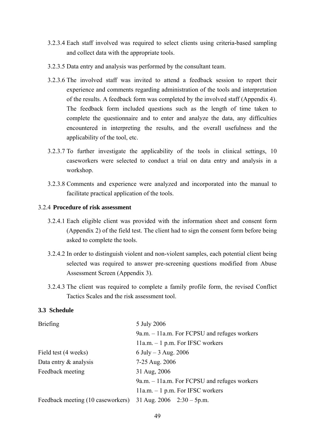- 3.2.3.4 Each staff involved was required to select clients using criteria-based sampling and collect data with the appropriate tools.
- 3.2.3.5 Data entry and analysis was performed by the consultant team.
- 3.2.3.6 The involved staff was invited to attend a feedback session to report their experience and comments regarding administration of the tools and interpretation of the results. A feedback form was completed by the involved staff (Appendix 4). The feedback form included questions such as the length of time taken to complete the questionnaire and to enter and analyze the data, any difficulties encountered in interpreting the results, and the overall usefulness and the applicability of the tool, etc.
- 3.2.3.7 To further investigate the applicability of the tools in clinical settings, 10 caseworkers were selected to conduct a trial on data entry and analysis in a workshop.
- 3.2.3.8 Comments and experience were analyzed and incorporated into the manual to facilitate practical application of the tools.

#### 3.2.4 **Procedure of risk assessment**

- 3.2.4.1 Each eligible client was provided with the information sheet and consent form (Appendix 2) of the field test. The client had to sign the consent form before being asked to complete the tools.
- 3.2.4.2 In order to distinguish violent and non-violent samples, each potential client being selected was required to answer pre-screening questions modified from Abuse Assessment Screen (Appendix 3).
- 3.2.4.3 The client was required to complete a family profile form, the revised Conflict Tactics Scales and the risk assessment tool.

#### **3.3 Schedule**

| <b>Briefing</b>                   | 5 July 2006                                    |
|-----------------------------------|------------------------------------------------|
|                                   | $9a.m. - 11a.m.$ For FCPSU and refuges workers |
|                                   | $11a.m. - 1 p.m.$ For IFSC workers             |
| Field test (4 weeks)              | 6 July $-3$ Aug. 2006                          |
| Data entry $\&$ analysis          | 7-25 Aug. 2006                                 |
| Feedback meeting                  | 31 Aug, 2006                                   |
|                                   | $9a.m. - 11a.m.$ For FCPSU and refuges workers |
|                                   | $11a.m. - 1 p.m.$ For IFSC workers             |
| Feedback meeting (10 caseworkers) | 31 Aug. $2006$ $2:30 - 5p.m.$                  |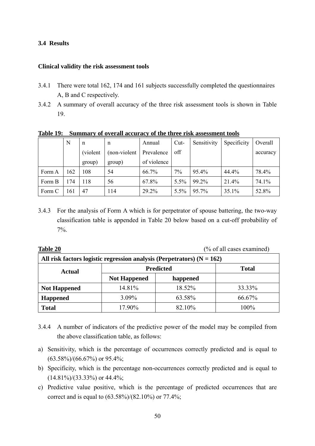#### **3.4 Results**

#### **Clinical validity the risk assessment tools**

- 3.4.1 There were total 162, 174 and 161 subjects successfully completed the questionnaires A, B and C respectively.
- 3.4.2 A summary of overall accuracy of the three risk assessment tools is shown in Table 19.

|        | N   | n         | n             | Annual      | $Cut-$ | Sensitivity | Specificity | Overall  |
|--------|-----|-----------|---------------|-------------|--------|-------------|-------------|----------|
|        |     | (violent) | (non-violent) | Prevalence  | off    |             |             | accuracy |
|        |     | group)    | group)        | of violence |        |             |             |          |
| Form A | 162 | 108       | 54            | 66.7%       | 7%     | 95.4%       | 44.4%       | 78.4%    |
| Form B | 174 | 118       | 56            | 67.8%       | 5.5%   | 99.2%       | 21.4%       | 74.1%    |
| Form C | 161 | 47        | 114           | 29.2%       | 5.5%   | 95.7%       | 35.1%       | 52.8%    |

**Table 19: Summary of overall accuracy of the three risk assessment tools**

3.4.3 For the analysis of Form A which is for perpetrator of spouse battering, the two-way classification table is appended in Table 20 below based on a cut-off probability of 7%.

**Table 20** (% of all cases examined)

| All risk factors logistic regression analysis (Perpetrators) $(N = 162)$ |                     |              |         |  |
|--------------------------------------------------------------------------|---------------------|--------------|---------|--|
| Actual                                                                   | <b>Predicted</b>    | <b>Total</b> |         |  |
|                                                                          | <b>Not Happened</b> | happened     |         |  |
| <b>Not Happened</b>                                                      | 14.81%              | 18.52%       | 33.33%  |  |
| <b>Happened</b>                                                          | 3.09%               | 63.58%       | 66.67%  |  |
| <b>Total</b>                                                             | 17.90%              | 82.10%       | $100\%$ |  |

- 3.4.4 A number of indicators of the predictive power of the model may be compiled from the above classification table, as follows:
- a) Sensitivity, which is the percentage of occurrences correctly predicted and is equal to  $(63.58\%)/(66.67\%)$  or 95.4%;
- b) Specificity, which is the percentage non-occurrences correctly predicted and is equal to  $(14.81\%)/(33.33\%)$  or 44.4%;
- c) Predictive value positive, which is the percentage of predicted occurrences that are correct and is equal to (63.58%)/(82.10%) or 77.4%;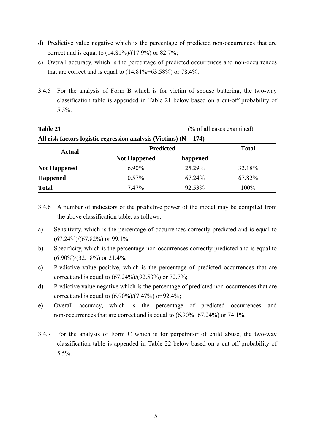- d) Predictive value negative which is the percentage of predicted non-occurrences that are correct and is equal to  $(14.81\%/17.9\%)$  or 82.7%;
- e) Overall accuracy, which is the percentage of predicted occurrences and non-occurrences that are correct and is equal to  $(14.81\% + 63.58\%)$  or  $78.4\%$ .
- 3.4.5 For the analysis of Form B which is for victim of spouse battering, the two-way classification table is appended in Table 21 below based on a cut-off probability of 5.5%.

| Table 21                                                            |                     |              | $(\%$ of all cases examined) |  |  |  |
|---------------------------------------------------------------------|---------------------|--------------|------------------------------|--|--|--|
| All risk factors logistic regression analysis (Victims) $(N = 174)$ |                     |              |                              |  |  |  |
| <b>Actual</b>                                                       | <b>Predicted</b>    | <b>Total</b> |                              |  |  |  |
|                                                                     | <b>Not Happened</b> | happened     |                              |  |  |  |
| <b>Not Happened</b>                                                 | $6.90\%$            | 25.29%       | 32.18%                       |  |  |  |
| <b>Happened</b>                                                     | $0.57\%$            | 67.24%       | 67.82%                       |  |  |  |
| <b>Total</b>                                                        | $7.47\%$            | 92.53%       | 100%                         |  |  |  |

- 3.4.6 A number of indicators of the predictive power of the model may be compiled from the above classification table, as follows:
- a) Sensitivity, which is the percentage of occurrences correctly predicted and is equal to  $(67.24\%)/(67.82\%)$  or 99.1%;
- b) Specificity, which is the percentage non-occurrences correctly predicted and is equal to  $(6.90\%/32.18\%)$  or 21.4%;
- c) Predictive value positive, which is the percentage of predicted occurrences that are correct and is equal to (67.24%)/(92.53%) or 72.7%;
- d) Predictive value negative which is the percentage of predicted non-occurrences that are correct and is equal to  $(6.90\%/7.47\%)$  or 92.4%;
- e) Overall accuracy, which is the percentage of predicted occurrences and non-occurrences that are correct and is equal to (6.90%+67.24%) or 74.1%.
- 3.4.7 For the analysis of Form C which is for perpetrator of child abuse, the two-way classification table is appended in Table 22 below based on a cut-off probability of 5.5%.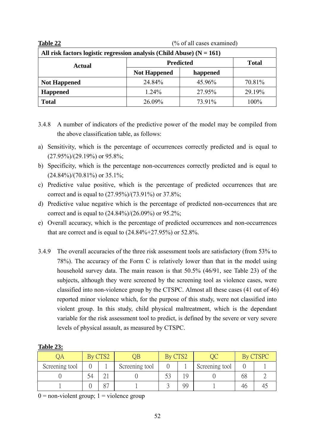| Table 22                                                                | (% of all cases examined) |              |        |  |  |
|-------------------------------------------------------------------------|---------------------------|--------------|--------|--|--|
| All risk factors logistic regression analysis (Child Abuse) $(N = 161)$ |                           |              |        |  |  |
| Actual                                                                  | <b>Predicted</b>          | <b>Total</b> |        |  |  |
|                                                                         | <b>Not Happened</b>       | happened     |        |  |  |
| <b>Not Happened</b>                                                     | 24.84%                    | 45.96%       | 70.81% |  |  |
| Happened                                                                | 1.24%                     | 27.95%       | 29.19% |  |  |
| <b>Total</b>                                                            | 26.09%                    | 73.91%       | 100%   |  |  |

- 3.4.8 A number of indicators of the predictive power of the model may be compiled from the above classification table, as follows:
- a) Sensitivity, which is the percentage of occurrences correctly predicted and is equal to (27.95%)/(29.19%) or 95.8%;
- b) Specificity, which is the percentage non-occurrences correctly predicted and is equal to  $(24.84\%/70.81\%)$  or 35.1%;
- c) Predictive value positive, which is the percentage of predicted occurrences that are correct and is equal to (27.95%)/(73.91%) or 37.8%;
- d) Predictive value negative which is the percentage of predicted non-occurrences that are correct and is equal to (24.84%)/(26.09%) or 95.2%;
- e) Overall accuracy, which is the percentage of predicted occurrences and non-occurrences that are correct and is equal to  $(24.84\% + 27.95\%)$  or 52.8%.
- 3.4.9 The overall accuracies of the three risk assessment tools are satisfactory (from 53% to 78%). The accuracy of the Form C is relatively lower than that in the model using household survey data. The main reason is that 50.5% (46/91, see Table 23) of the subjects, although they were screened by the screening tool as violence cases, were classified into non-violence group by the CTSPC. Almost all these cases (41 out of 46) reported minor violence which, for the purpose of this study, were not classified into violent group. In this study, child physical maltreatment, which is the dependant variable for the risk assessment tool to predict, is defined by the severe or very severe levels of physical assault, as measured by CTSPC.

|                |    | By CTS2 |                |    |                |     |  |
|----------------|----|---------|----------------|----|----------------|-----|--|
| Screening tool |    |         | Screening tool |    | Screening tool |     |  |
|                | 54 |         |                | 1Ç |                | Ŋ۲. |  |
|                |    | ∩⊓      |                | 99 |                | 40  |  |

#### **Table 23:**

 $0 =$  non-violent group;  $1 =$  violence group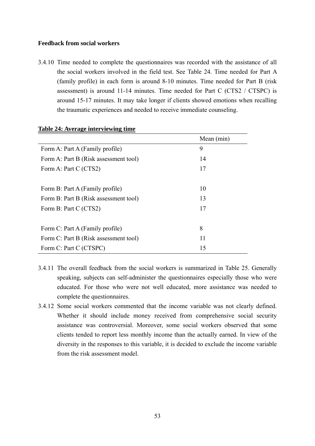#### **Feedback from social workers**

3.4.10 Time needed to complete the questionnaires was recorded with the assistance of all the social workers involved in the field test. See Table 24. Time needed for Part A (family profile) in each form is around 8-10 minutes. Time needed for Part B (risk assessment) is around 11-14 minutes. Time needed for Part C (CTS2 / CTSPC) is around 15-17 minutes. It may take longer if clients showed emotions when recalling the traumatic experiences and needed to receive immediate counseling.

|                                       | Mean (min) |
|---------------------------------------|------------|
| Form A: Part A (Family profile)       | 9          |
| Form A: Part B (Risk assessment tool) | 14         |
| Form A: Part C (CTS2)                 | 17         |
|                                       |            |
| Form B: Part A (Family profile)       | 10         |
| Form B: Part B (Risk assessment tool) | 13         |
| Form B: Part C (CTS2)                 | 17         |
|                                       |            |
| Form C: Part A (Family profile)       | 8          |
| Form C: Part B (Risk assessment tool) | 11         |
| Form C: Part C (CTSPC)                | 15         |

#### **Table 24: Average interviewing time**

- 3.4.11 The overall feedback from the social workers is summarized in Table 25. Generally speaking, subjects can self-administer the questionnaires especially those who were educated. For those who were not well educated, more assistance was needed to complete the questionnaires.
- 3.4.12 Some social workers commented that the income variable was not clearly defined. Whether it should include money received from comprehensive social security assistance was controversial. Moreover, some social workers observed that some clients tended to report less monthly income than the actually earned. In view of the diversity in the responses to this variable, it is decided to exclude the income variable from the risk assessment model.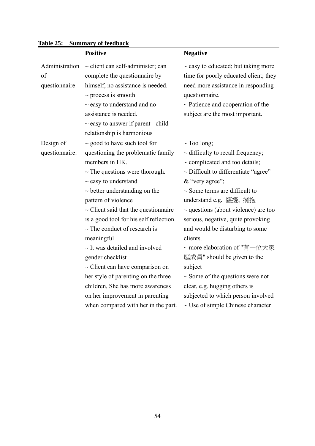|                | <b>Positive</b>                           | <b>Negative</b>                           |
|----------------|-------------------------------------------|-------------------------------------------|
| Administration | $\sim$ client can self-administer; can    | $\sim$ easy to educated; but taking more  |
| of             | complete the questionnaire by             | time for poorly educated client; they     |
| questionnaire  | himself, no assistance is needed.         | need more assistance in responding        |
|                | $\sim$ process is smooth                  | questionnaire.                            |
|                | $\sim$ easy to understand and no          | $\sim$ Patience and cooperation of the    |
|                | assistance is needed.                     | subject are the most important.           |
|                | $\sim$ easy to answer if parent - child   |                                           |
|                | relationship is harmonious                |                                           |
| Design of      | $\sim$ good to have such tool for         | $\sim$ Too long;                          |
| questionnaire: | questioning the problematic family        | $\sim$ difficulty to recall frequency;    |
|                | members in HK.                            | $\sim$ complicated and too details;       |
|                | $\sim$ The questions were thorough.       | $\sim$ Difficult to differentiate "agree" |
|                | $\sim$ easy to understand                 | & "very agree";                           |
|                | $\sim$ better understanding on the        | $\sim$ Some terms are difficult to        |
|                | pattern of violence                       | understand e.g. 纏擾, 擁抱                    |
|                | $\sim$ Client said that the questionnaire | $\sim$ questions (about violence) are too |
|                | is a good tool for his self reflection.   | serious, negative, quite provoking        |
|                | $\sim$ The conduct of research is         | and would be disturbing to some           |
|                | meaningful                                | clients.                                  |
|                | $\sim$ It was detailed and involved       | ~ more elaboration of "有一位大家              |
|                | gender checklist                          | 庭成員" should be given to the               |
|                | $\sim$ Client can have comparison on      | subject                                   |
|                | her style of parenting on the three       | $\sim$ Some of the questions were not     |
|                | children, She has more awareness          | clear, e.g. hugging others is             |
|                | on her improvement in parenting           | subjected to which person involved        |
|                | when compared with her in the part.       | $\sim$ Use of simple Chinese character    |

# **Table 25: Summary of feedback**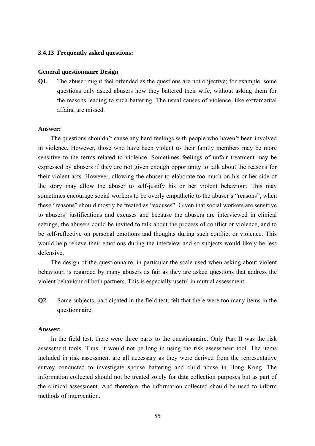#### **3.4.13 Frequently asked questions:**

#### **General questionnaire Design**

**Q1.** The abuser might feel offended as the questions are not objective; for example, some questions only asked abusers how they battered their wife, without asking them for the reasons leading to such battering. The usual causes of violence, like extramarital affairs, are missed.

#### **Answer:**

The questions shouldn't cause any hard feelings with people who haven't been involved in violence. However, those who have been violent to their family members may be more sensitive to the terms related to violence. Sometimes feelings of unfair treatment may be expressed by abusers if they are not given enough opportunity to talk about the reasons for their violent acts. However, allowing the abuser to elaborate too much on his or her side of the story may allow the abuser to self-justify his or her violent behaviour. This may sometimes encourage social workers to be overly empathetic to the abuser's "reasons", when these "reasons" should mostly be treated as "excuses". Given that social workers are sensitive to abusers' justifications and excuses and because the abusers are interviewed in clinical settings, the abusers could be invited to talk about the process of conflict or violence, and to be self-reflective on personal emotions and thoughts during such conflict or violence. This would help relieve their emotions during the interview and so subjects would likely be less defensive.

The design of the questionnaire, in particular the scale used when asking about violent behaviour, is regarded by many abusers as fair as they are asked questions that address the violent behaviour of both partners. This is especially useful in mutual assessment.

**Q2.** Some subjects, participated in the field test, felt that there were too many items in the questionnaire.

#### **Answer:**

In the field test, there were three parts to the questionnaire. Only Part II was the risk assessment tools. Thus, it would not be long in using the risk assessment tool. The items included in risk assessment are all necessary as they were derived from the representative survey conducted to investigate spouse battering and child abuse in Hong Kong. The information collected should not be treated solely for data collection purposes but as part of the clinical assessment. And therefore, the information collected should be used to inform methods of intervention.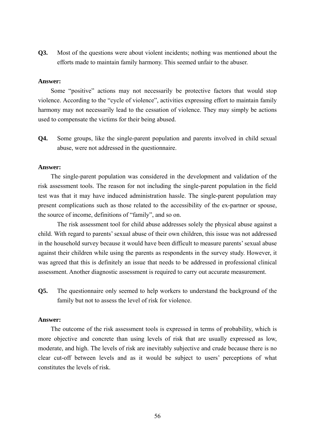**Q3.** Most of the questions were about violent incidents; nothing was mentioned about the efforts made to maintain family harmony. This seemed unfair to the abuser.

#### **Answer:**

Some "positive" actions may not necessarily be protective factors that would stop violence. According to the "cycle of violence", activities expressing effort to maintain family harmony may not necessarily lead to the cessation of violence. They may simply be actions used to compensate the victims for their being abused.

**Q4.** Some groups, like the single-parent population and parents involved in child sexual abuse, were not addressed in the questionnaire.

#### **Answer:**

The single-parent population was considered in the development and validation of the risk assessment tools. The reason for not including the single-parent population in the field test was that it may have induced administration hassle. The single-parent population may present complications such as those related to the accessibility of the ex-partner or spouse, the source of income, definitions of "family", and so on.

 The risk assessment tool for child abuse addresses solely the physical abuse against a child. With regard to parents' sexual abuse of their own children, this issue was not addressed in the household survey because it would have been difficult to measure parents' sexual abuse against their children while using the parents as respondents in the survey study. However, it was agreed that this is definitely an issue that needs to be addressed in professional clinical assessment. Another diagnostic assessment is required to carry out accurate measurement.

**Q5.** The questionnaire only seemed to help workers to understand the background of the family but not to assess the level of risk for violence.

#### **Answer:**

The outcome of the risk assessment tools is expressed in terms of probability, which is more objective and concrete than using levels of risk that are usually expressed as low, moderate, and high. The levels of risk are inevitably subjective and crude because there is no clear cut-off between levels and as it would be subject to users' perceptions of what constitutes the levels of risk.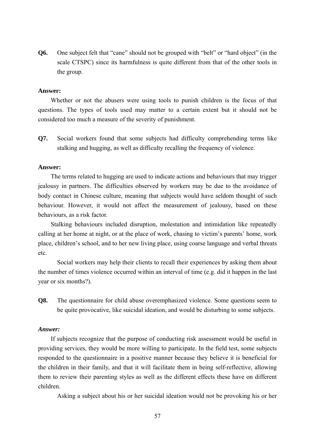**Q6.** One subject felt that "cane" should not be grouped with "belt" or "hard object" (in the scale CTSPC) since its harmfulness is quite different from that of the other tools in the group.

#### **Answer:**

Whether or not the abusers were using tools to punish children is the focus of that questions. The types of tools used may matter to a certain extent but it should not be considered too much a measure of the severity of punishment.

**Q7.** Social workers found that some subjects had difficulty comprehending terms like stalking and hugging, as well as difficulty recalling the frequency of violence.

#### **Answer:**

The terms related to hugging are used to indicate actions and behaviours that may trigger jealousy in partners. The difficulties observed by workers may be due to the avoidance of body contact in Chinese culture, meaning that subjects would have seldom thought of such behaviour. However, it would not affect the measurement of jealousy, based on these behaviours, as a risk factor.

Stalking behaviours included disruption, molestation and intimidation like repeatedly calling at her home at night, or at the place of work, chasing to victim's parents' home, work place, children's school, and to her new living place, using coarse language and verbal threats etc.

 Social workers may help their clients to recall their experiences by asking them about the number of times violence occurred within an interval of time (e.g. did it happen in the last year or six months?).

**Q8.** The questionnaire for child abuse overemphasized violence. Some questions seem to be quite provocative, like suicidal ideation, and would be disturbing to some subjects.

#### *Answer:*

If subjects recognize that the purpose of conducting risk assessment would be useful in providing services, they would be more willing to participate. In the field test, some subjects responded to the questionnaire in a positive manner because they believe it is beneficial for the children in their family, and that it will facilitate them in being self-reflective, allowing them to review their parenting styles as well as the different effects these have on different children.

Asking a subject about his or her suicidal ideation would not be provoking his or her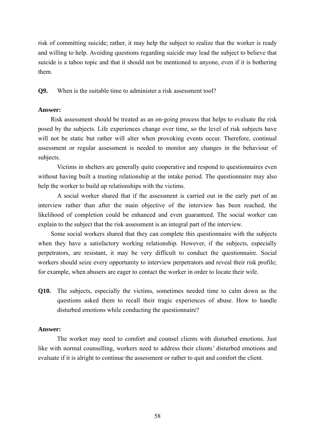risk of committing suicide; rather, it may help the subject to realize that the worker is ready and willing to help. Avoiding questions regarding suicide may lead the subject to believe that suicide is a taboo topic and that it should not be mentioned to anyone, even if it is bothering them.

**Q9.** When is the suitable time to administer a risk assessment tool?

#### **Answer:**

Risk assessment should be treated as an on-going process that helps to evaluate the risk posed by the subjects. Life experiences change over time, so the level of risk subjects have will not be static but rather will alter when provoking events occur. Therefore, continual assessment or regular assessment is needed to monitor any changes in the behaviour of subjects.

 Victims in shelters are generally quite cooperative and respond to questionnaires even without having built a trusting relationship at the intake period. The questionnaire may also help the worker to build up relationships with the victims.

 A social worker shared that if the assessment is carried out in the early part of an interview rather than after the main objective of the interview has been reached, the likelihood of completion could be enhanced and even guaranteed. The social worker can explain to the subject that the risk assessment is an integral part of the interview.

Some social workers shared that they can complete this questionnaire with the subjects when they have a satisfactory working relationship. However, if the subjects, especially perpetrators, are resistant, it may be very difficult to conduct the questionnaire. Social workers should seize every opportunity to interview perpetrators and reveal their risk profile; for example, when abusers are eager to contact the worker in order to locate their wife.

**Q10.** The subjects, especially the victims, sometimes needed time to calm down as the questions asked them to recall their tragic experiences of abuse. How to handle disturbed emotions while conducting the questionnaire?

### **Answer:**

 The worker may need to comfort and counsel clients with disturbed emotions. Just like with normal counselling, workers need to address their clients' disturbed emotions and evaluate if it is alright to continue the assessment or rather to quit and comfort the client.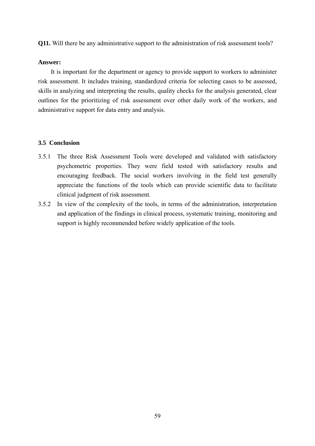**Q11.** Will there be any administrative support to the administration of risk assessment tools?

#### **Answer:**

It is important for the department or agency to provide support to workers to administer risk assessment. It includes training, standardized criteria for selecting cases to be assessed, skills in analyzing and interpreting the results, quality checks for the analysis generated, clear outlines for the prioritizing of risk assessment over other daily work of the workers, and administrative support for data entry and analysis.

#### **3.5 Conclusion**

- 3.5.1 The three Risk Assessment Tools were developed and validated with satisfactory psychometric properties. They were field tested with satisfactory results and encouraging feedback. The social workers involving in the field test generally appreciate the functions of the tools which can provide scientific data to facilitate clinical judgment of risk assessment.
- 3.5.2 In view of the complexity of the tools, in terms of the administration, interpretation and application of the findings in clinical process, systematic training, monitoring and support is highly recommended before widely application of the tools.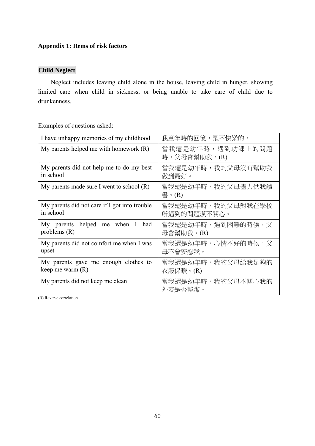# **Appendix 1: Items of risk factors**

# **Child Neglect**

Neglect includes leaving child alone in the house, leaving child in hunger, showing limited care when child in sickness, or being unable to take care of child due to drunkenness.

| I have unhappy memories of my childhood                    | 我童年時的回憶,是不快樂的。                   |
|------------------------------------------------------------|----------------------------------|
| My parents helped me with homework $(R)$                   | 當我還是幼年時,遇到功課上的問題<br>時,父母會幫助我。(R) |
| My parents did not help me to do my best<br>in school      | 當我還是幼年時,我的父母沒有幫助我<br>做到最好。       |
| My parents made sure I went to school $(R)$                | 當我還是幼年時,我的父母儘力供我讀<br>書。(R)       |
| My parents did not care if I got into trouble<br>in school | 當我還是幼年時,我的父母對我在學校<br>所遇到的問題漠不關心。 |
| My parents helped me when I<br>had<br>problems $(R)$       | 當我還是幼年時,遇到困難的時候,父<br>母會幫助我。(R)   |
| My parents did not comfort me when I was<br>upset          | 當我還是幼年時,心情不好的時候,父<br>母不會安慰我。     |
| My parents gave me enough clothes to<br>keep me warm (R)   | 當我還是幼年時,我的父母給我足夠的<br>衣服保暖。(R)    |
| My parents did not keep me clean<br>1.111<br>(2)           | 當我還是幼年時,我的父母不關心我的<br>外表是否整潔。     |

Examples of questions asked:

(R) Reverse correlation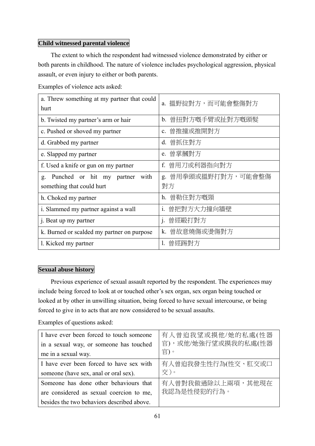## **Child witnessed parental violence**

The extent to which the respondent had witnessed violence demonstrated by either or both parents in childhood. The nature of violence includes psychological aggression, physical assault, or even injury to either or both parents.

Examples of violence acts asked:

| a. Threw something at my partner that could<br>hurt | a. 搵野掟對方,而可能會整傷對方            |
|-----------------------------------------------------|------------------------------|
|                                                     |                              |
| b. Twisted my partner's arm or hair                 | 曾扭對方嘅手臂或扯對方嘅頭髮<br>$b_{-}$    |
| c. Pushed or shoved my partner                      | 曾推撞或推開對方<br>$c_{\cdot}$      |
| d. Grabbed my partner                               | 曾抓住對方<br>$d_{\cdot}$         |
| e. Slapped my partner                               | e. 曾掌摑對方                     |
| f. Used a knife or gun on my partner                | f. 曾用刀或利器指向對方                |
| Punched or hit my partner<br>with<br>g.             | g. 曾用拳頭或搵野打對方,可能會整傷          |
| something that could hurt                           | 對方                           |
| h. Choked my partner                                | 曾勒住對方嘅頸<br>h.                |
| i. Slammed my partner against a wall                | 曾把對方大力撞向牆壁<br>$\mathbf{1}$ . |
| j. Beat up my partner                               | 曾經毆打對方<br>j.                 |
| k. Burned or scalded my partner on purpose          | k.<br>曾故意燒傷或燙傷對方             |
| l. Kicked my partner                                | 曾經踢對方                        |

### **Sexual abuse history**

Previous experience of sexual assault reported by the respondent. The experiences may include being forced to look at or touched other's sex organ, sex organ being touched or looked at by other in unwilling situation, being forced to have sexual intercourse, or being forced to give in to acts that are now considered to be sexual assaults.

| I have ever been forced to touch someone   | 有人曾迫我望或摸他/她的私處(性器   |
|--------------------------------------------|---------------------|
| in a sexual way, or someone has touched    | 官),或他/她強行望或摸我的私處(性器 |
| me in a sexual way.                        | 官)。                 |
| I have ever been forced to have sex with   | 有人曾迫我發生性行為(性交、肛交或口  |
| someone (have sex, anal or oral sex).      | 交)。                 |
| Someone has done other behaviours that     | 有人曾對我做過除以上兩項,其他現在   |
| are considered as sexual coercion to me,   | 我認為是性侵犯的行為。         |
| besides the two behaviors described above. |                     |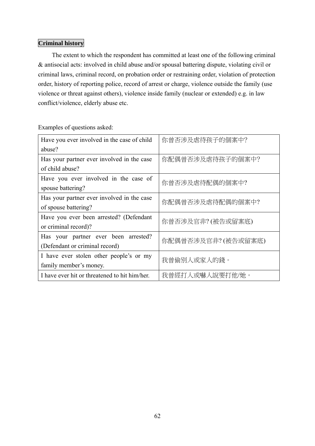## **Criminal history**

The extent to which the respondent has committed at least one of the following criminal & antisocial acts: involved in child abuse and/or spousal battering dispute, violating civil or criminal laws, criminal record, on probation order or restraining order, violation of protection order, history of reporting police, record of arrest or charge, violence outside the family (use violence or threat against others), violence inside family (nuclear or extended) e.g. in law conflict/violence, elderly abuse etc.

| Have you ever involved in the case of child   | 你曾否涉及虐待孩子的個案中?      |  |
|-----------------------------------------------|---------------------|--|
| abuse?                                        |                     |  |
| Has your partner ever involved in the case    | 你配偶曾否涉及虐待孩子的個案中?    |  |
| of child abuse?                               |                     |  |
| Have you ever involved in the case of         | 你曾否涉及虐待配偶的個案中?      |  |
| spouse battering?                             |                     |  |
| Has your partner ever involved in the case    | 你配偶曾否涉及虐待配偶的個案中?    |  |
| of spouse battering?                          |                     |  |
| Have you ever been arrested? (Defendant       | 你曾否涉及官非? (被告或留案底)   |  |
| or criminal record)?                          |                     |  |
| Has your partner ever been arrested?          | 你配偶曾否涉及官非? (被告或留案底) |  |
| (Defendant or criminal record)                |                     |  |
| I have ever stolen other people's or my       | 我曾偷別人或家人的錢。         |  |
| family member's money.                        |                     |  |
| I have ever hit or threatened to hit him/her. | 我曾經打人或嚇人說要打他/她。     |  |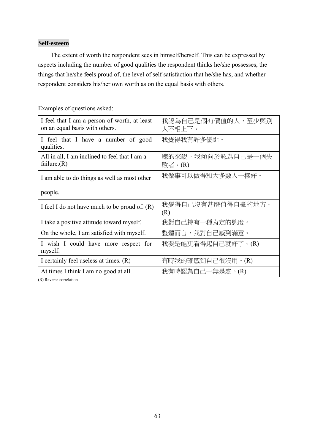# **Self-esteem**

The extent of worth the respondent sees in himself/herself. This can be expressed by aspects including the number of good qualities the respondent thinks he/she possesses, the things that he/she feels proud of, the level of self satisfaction that he/she has, and whether respondent considers his/her own worth as on the equal basis with others.

| I feel that I am a person of worth, at least<br>on an equal basis with others. | 我認為自己是個有價值的人,至少與別<br>人不相上下。 |
|--------------------------------------------------------------------------------|-----------------------------|
| I feel that I have a number of good<br>qualities.                              | 我覺得我有許多優點。                  |
| All in all, I am inclined to feel that I am a<br>failure. $(R)$                | 總的來說,我傾向於認為自己是一個失<br>敗者。(R) |
| I am able to do things as well as most other                                   | 我做事可以做得和大多數人一樣好。            |
| people.                                                                        |                             |
| I feel I do not have much to be proud of. $(R)$                                | 我覺得自己沒有甚麼值得自豪的地方。<br>(R)    |
| I take a positive attitude toward myself.                                      | 我對自己持有一種肯定的態度。              |
| On the whole, I am satisfied with myself.                                      | 整體而言,我對自己感到滿意。              |
| I wish I could have more respect for<br>myself.                                | 我要是能更看得起自己就好了。(R)           |
| I certainly feel useless at times. (R)                                         | 有時我的確感到自己很沒用。(R)            |
| At times I think I am no good at all.                                          | 我有時認為自己一無是處。(R)             |

Examples of questions asked:

(R) Reverse correlation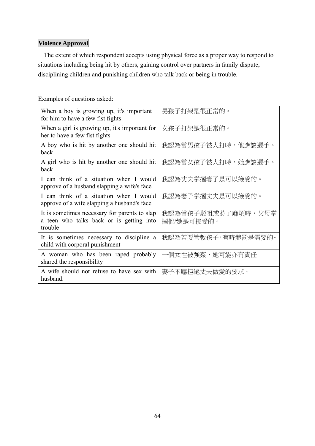# **Violence Approval**

The extent of which respondent accepts using physical force as a proper way to respond to situations including being hit by others, gaining control over partners in family dispute, disciplining children and punishing children who talk back or being in trouble.

| When a boy is growing up, it's important<br>for him to have a few fist fights                        | 男孩子打架是很正常的。                      |
|------------------------------------------------------------------------------------------------------|----------------------------------|
| When a girl is growing up, it's important for<br>her to have a few fist fights                       | 女孩子打架是很正常的。                      |
| A boy who is hit by another one should hit<br>back                                                   | 我認為當男孩子被人打時,他應該還手。               |
| A girl who is hit by another one should hit<br>back                                                  | 我認為當女孩子被人打時,她應該還手。               |
| I can think of a situation when I would<br>approve of a husband slapping a wife's face               | 我認為丈夫掌摑妻子是可以接受的。                 |
| I can think of a situation when I would<br>approve of a wife slapping a husband's face               | 我認為妻子掌摑丈夫是可以接受的。                 |
| It is sometimes necessary for parents to slap<br>a teen who talks back or is getting into<br>trouble | 我認為當孩子駁咀或惹了麻煩時,父母掌<br>摑他/她是可接受的。 |
| It is sometimes necessary to discipline a<br>child with corporal punishment                          | 我認為若要管教孩子,有時體罰是需要的。              |
| A woman who has been raped probably<br>shared the responsibility                                     | 一個女性被強姦,她可能亦有責任                  |
| A wife should not refuse to have sex with<br>husband.                                                | 妻子不應拒絕丈夫做愛的要求。                   |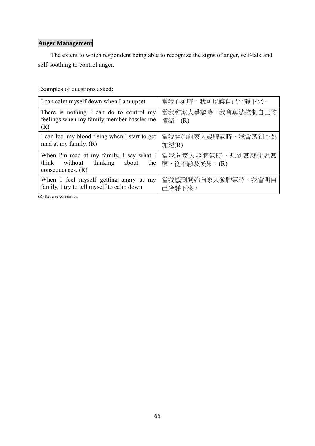# **Anger Management**

The extent to which respondent being able to recognize the signs of anger, self-talk and self-soothing to control anger.

Examples of questions asked:

| I can calm myself down when I am upset.                                                            | 當我心煩時,我可以讓自己平靜下來。                 |
|----------------------------------------------------------------------------------------------------|-----------------------------------|
| There is nothing I can do to control my<br>feelings when my family member hassles me<br>(R)        | 當我和家人爭辯時,我會無法控制自己的<br>情緒。(R)      |
| I can feel my blood rising when I start to get<br>mad at my family. $(R)$                          | 當我開始向家人發脾氣時,我會感到心跳<br>加速(R)       |
| When I'm mad at my family, I say what I<br>think without thinking about the<br>consequences. $(R)$ | 當我向家人發脾氣時,想到甚麼便說甚<br>麼,從不顧及後果。(R) |
| When I feel myself getting angry at my<br>family, I try to tell myself to calm down                | 當我感到開始向家人發脾氣時,我會叫自<br>己冷靜下來。      |

(R) Reverse correlation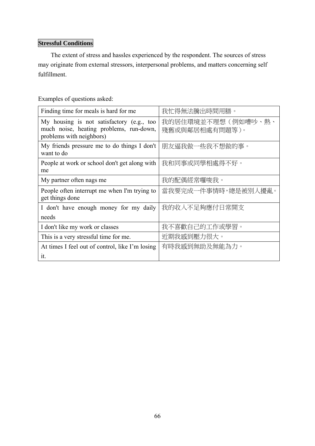# **Stressful Conditions**

The extent of stress and hassles experienced by the respondent. The sources of stress may originate from external stressors, interpersonal problems, and matters concerning self fulfillment.

| Finding time for meals is hard for me                                                                            | 我忙得無法騰出時間用膳。                             |
|------------------------------------------------------------------------------------------------------------------|------------------------------------------|
| My housing is not satisfactory (e.g., too<br>much noise, heating problems, run-down,<br>problems with neighbors) | 我的居住環境並不理想(例如嘈吵、<br>熱、<br>殘舊或與鄰居相處有問題等)。 |
| My friends pressure me to do things I don't<br>want to do                                                        | 朋友逼我做一些我不想做的事。                           |
| People at work or school don't get along with<br>me                                                              | 我和同事或同學相處得不好。                            |
| My partner often nags me                                                                                         | 我的配偶經常囉唆我。                               |
| People often interrupt me when I'm trying to<br>get things done                                                  | 當我要完成一件事情時,總是被別人擾亂。                      |
| I don't have enough money for my daily                                                                           | 我的收入不足夠應付日常開支                            |
| needs                                                                                                            |                                          |
| I don't like my work or classes                                                                                  | 我不喜歡自己的工作或學習。                            |
| This is a very stressful time for me.                                                                            | 近期我感到壓力很大。                               |
| At times I feel out of control, like I'm losing                                                                  | 有時我感到無助及無能為力。                            |
| it.                                                                                                              |                                          |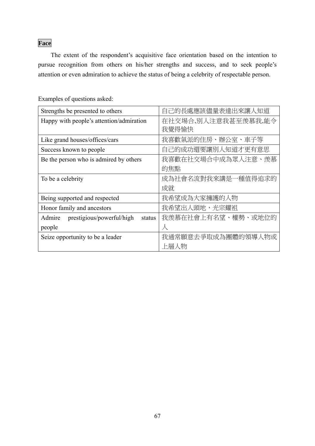# **Face**

The extent of the respondent's acquisitive face orientation based on the intention to pursue recognition from others on his/her strengths and success, and to seek people's attention or even admiration to achieve the status of being a celebrity of respectable person.

| Strengths be presented to others           | 自己的長處應該儘量表達出來讓人知道            |
|--------------------------------------------|------------------------------|
| Happy with people's attention/admiration   | 在社交埸合,別人注意我甚至羨慕我,能令<br>我覺得愉快 |
| Like grand houses/offices/cars             | 我喜歡氣派的住房、辦公室、車子等             |
| Success known to people                    | 自己的成功還要讓別人知道才更有意思            |
| Be the person who is admired by others     | 我喜歡在社交場合中成為眾人注意、羨慕           |
|                                            | 的焦點                          |
| To be a celebrity                          | 成為社會名流對我來講是一種值得追求的           |
|                                            | 成就                           |
| Being supported and respected              | 我希望成為大家擁護的人物                 |
| Honor family and ancestors                 | 我希望出人頭地,光宗耀祖                 |
| Admire prestigious/powerful/high<br>status | 我羡慕在社會上有名望、權勢、或地位的           |
| people                                     | $\lambda$                    |
| Seize opportunity to be a leader           | 我通常願意去爭取成為團體的領導人物或           |
|                                            | 上層人物                         |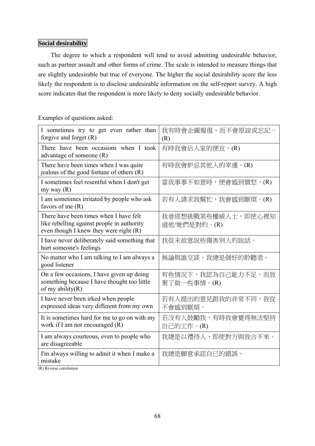#### **Social desirability**

The degree to which a respondent will tend to avoid admitting undesirable behavior, such as partner assault and other forms of crime. The scale is intended to measure things that are slightly undesirable but true of everyone. The higher the social desirability score the less likely the respondent is to disclose undesirable information on the self-report survey. A high score indicates that the respondent is more likely to deny socially undesirable behavior.

Examples of questions asked:

| I sometimes try to get even rather than<br>forgive and forget $(R)$                                                              | 我有時會企圖報復,而不會原諒或忘記。<br>(R)          |
|----------------------------------------------------------------------------------------------------------------------------------|------------------------------------|
| There have been occasions when I took<br>advantage of someone (R)                                                                | 有時我會佔人家的便宜。(R)                     |
| There have been times when I was quite<br>jealous of the good fortune of others $(R)$                                            | 有時我會妒忌其他人的幸運。(R)                   |
| I sometimes feel resentful when I don't get<br>my way $(R)$                                                                      | 當我事事不如意時,便會感到憤怒。(R)                |
| I am sometimes irritated by people who ask<br>favors of me $(R)$                                                                 | 若有人請求我幫忙,我會感到厭煩。(R)                |
| There have been times when I have felt<br>like rebelling against people in authority<br>even though I knew they were right $(R)$ | 我曾經想挑戰某些權威人士,即使心裡知<br>道他/她們是對的。(R) |
| I have never deliberately said something that<br>hurt someone's feelings                                                         | 我從未故意說些傷害別人的說話。                    |
| No matter who I am talking to I am always a<br>good listener                                                                     | 無論與誰交談,我總是個好的聆聽者。                  |
| On a few occasions, I have given up doing<br>something because I have thought too little<br>of my ability $(R)$                  | 有些情況下,我認為自己能力不足,而放<br>棄了做一些事情。(R)  |
| I have never been irked when people<br>expressed ideas very different from my own                                                | 若有人提出的意見跟我的非常不同,我從<br>不會感到厭煩。      |
| It is sometimes hard for me to go on with my<br>work if I am not encouraged (R)                                                  | 若沒有人鼓勵我,有時我會覺得無法堅持<br>自己的工作。(R)    |
| I am always courteous, even to people who<br>are disagreeable                                                                    | 我總是以禮待人,即使對方與我合不來。                 |
| I'm always willing to admit it when I make a<br>mistake<br>1.11                                                                  | 我總是願意承認自己的錯誤。                      |

(R) Reverse correlation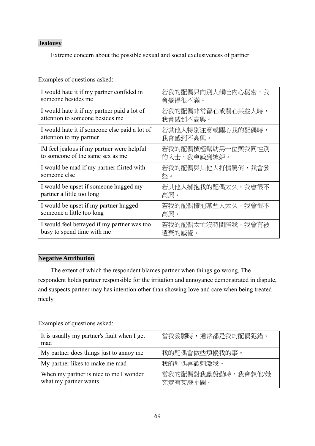# **Jealousy**

Extreme concern about the possible sexual and social exclusiveness of partner

Examples of questions asked:

| I would hate it if my partner confided in     | 若我的配偶只向別人傾吐內心秘密,我 |
|-----------------------------------------------|-------------------|
| someone besides me                            | 會覺得很不滿。           |
| I would hate it if my partner paid a lot of   | 若我的配偶非常留心或關心某些人時, |
| attention to someone besides me               | 我會感到不高興。          |
| I would hate it if someone else paid a lot of | 若其他人特別注意或關心我的配偶時, |
| attention to my partner                       | 我會感到不高興。          |
| I'd feel jealous if my partner were helpful   | 若我的配偶積極幫助另一位與我同性別 |
| to someone of the same sex as me              | 的人士,我會感到嫉妒。       |
| I would be mad if my partner flirted with     | 若我的配偶與其他人打情罵俏,我會發 |
| someone else                                  | 怒。                |
| I would be upset if someone hugged my         | 若其他人擁抱我的配偶太久,我會很不 |
| partner a little too long                     | 高興。               |
| I would be upset if my partner hugged         | 若我的配偶擁抱某些人太久,我會很不 |
| someone a little too long                     | 高興。               |
| I would feel betrayed if my partner was too   | 若我的配偶太忙沒時間陪我,我會有被 |
| busy to spend time with me                    | 遺棄的感覺。            |

## **Negative Attribution**

The extent of which the respondent blames partner when things go wrong. The respondent holds partner responsible for the irritation and annoyance demonstrated in dispute, and suspects partner may has intention other than showing love and care when being treated nicely.

| It is usually my partner's fault when I get<br>mad              | 當我發嬲時,通常都是我的配偶犯錯。              |
|-----------------------------------------------------------------|--------------------------------|
| My partner does things just to annoy me                         | 我的配偶會做些煩擾我的事。                  |
| My partner likes to make me mad                                 | 我的配偶喜歡刺激我。                     |
| When my partner is nice to me I wonder<br>what my partner wants | 當我的配偶對我獻殷勤時,我會想他/她<br>究竟有甚麼企圖。 |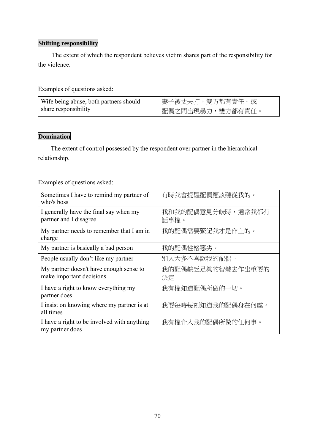# **Shifting responsibility**

The extent of which the respondent believes victim shares part of the responsibility for the violence.

Examples of questions asked:

| Wife being abuse, both partners should | 妻子被丈夫打,雙方都有責任。或  |
|----------------------------------------|------------------|
| share responsibility                   | 配偶之間出現暴力,雙方都有責任。 |

# **Domination**

The extent of control possessed by the respondent over partner in the hierarchical relationship.

| Sometimes I have to remind my partner of<br>who's boss              | 有時我會提醒配偶應該聽從我的。           |
|---------------------------------------------------------------------|---------------------------|
| I generally have the final say when my<br>partner and I disagree    | 我和我的配偶意見分歧時,通常我都有<br>話事權。 |
| My partner needs to remember that I am in<br>charge                 | 我的配偶需要緊記我才是作主的。           |
| My partner is basically a bad person                                | 我的配偶性格惡劣。                 |
| People usually don't like my partner                                | 別人大多不喜歡我的配偶。              |
| My partner doesn't have enough sense to<br>make important decisions | 我的配偶缺乏足夠的智慧去作出重要的<br>決定。  |
| I have a right to know everything my<br>partner does                | 我有權知道配偶所做的一切。             |
| I insist on knowing where my partner is at<br>all times             | 我要每時每刻知道我的配偶身在何處。         |
| I have a right to be involved with anything<br>my partner does      | 我有權介入我的配偶所做的任何事。          |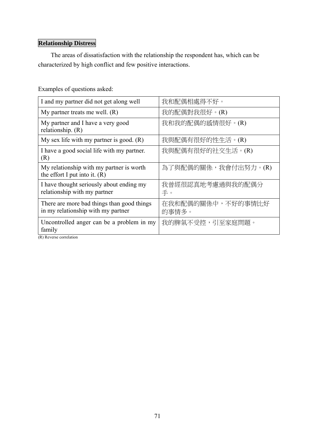# **Relationship Distress**

The areas of dissatisfaction with the relationship the respondent has, which can be characterized by high conflict and few positive interactions.

Examples of questions asked:

| I and my partner did not get along well                                                         | 我和配偶相處得不好。                 |
|-------------------------------------------------------------------------------------------------|----------------------------|
| My partner treats me well. $(R)$                                                                | 我的配偶對我很好。(R)               |
| My partner and I have a very good<br>relationship. $(R)$                                        | 我和我的配偶的感情很好。(R)            |
| My sex life with my partner is good. $(R)$                                                      | 我與配偶有很好的性生活。(R)            |
| I have a good social life with my partner.<br>(R)                                               | 我與配偶有很好的社交生活。(R)           |
| My relationship with my partner is worth<br>the effort I put into it. $(R)$                     | 為了與配偶的關係,我會付出努力。(R)        |
| I have thought seriously about ending my<br>relationship with my partner                        | 我曾經很認真地考慮過與我的配偶分<br>手。     |
| There are more bad things than good things<br>in my relationship with my partner                | 在我和配偶的關係中,不好的事情比好<br>的事情多。 |
| Uncontrolled anger can be a problem in my<br>family<br>1.1<br>$\mathbf{m} \setminus \mathbf{m}$ | 我的脾氣不受控,引至家庭問題。            |

(R) Reverse correlation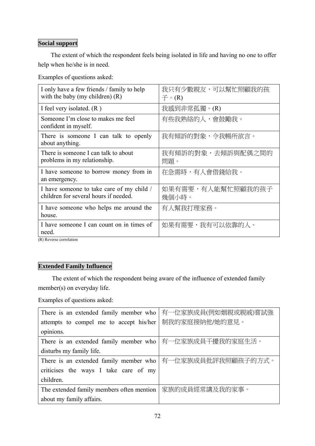# **Social support**

The extent of which the respondent feels being isolated in life and having no one to offer help when he/she is in need.

Examples of questions asked:

| I only have a few friends / family to help<br>with the baby (my children) $(R)$    | 我只有少數親友,可以幫忙照顧我的孩<br>$\overline{\mathcal{F}} \circ (\mathsf{R})$ |
|------------------------------------------------------------------------------------|------------------------------------------------------------------|
| I feel very isolated. $(R)$                                                        | 我感到非常孤獨。(R)                                                      |
| Someone I'm close to makes me feel<br>confident in myself.                         | 有些我熟絡的人,會鼓勵我。                                                    |
| There is someone I can talk to openly<br>about anything.                           | 我有傾訴的對象,令我暢所欲言。                                                  |
| There is someone I can talk to about<br>problems in my relationship.               | 我有傾訴的對象,去傾訴與配偶之間的<br>問題。                                         |
| I have someone to borrow money from in<br>an emergency.                            | 在急需時,有人會借錢給我。                                                    |
| I have someone to take care of my child /<br>children for several hours if needed. | 如果有需要,有人能幫忙照顧我的孩子<br>幾個小時。                                       |
| I have someone who helps me around the<br>house.                                   | 有人幫我打理家務。                                                        |
| I have someone I can count on in times of<br>need.                                 | 如果有需要,我有可以依靠的人。                                                  |

(R) Reverse correlation

# **Extended Family Influence**

The extent of which the respondent being aware of the influence of extended family member(s) on everyday life.

Examples of questions asked:

| There is an extended family member who                    | 有一位家族成員(例如姻親或親戚)嘗試強 |  |  |  |
|-----------------------------------------------------------|---------------------|--|--|--|
| attempts to compel me to accept his/her                   | 制我的家庭接納他/她的意見。      |  |  |  |
| opinions.                                                 |                     |  |  |  |
| There is an extended family member who   有一位家族成員干擾我的家庭生活。 |                     |  |  |  |
| disturbs my family life.                                  |                     |  |  |  |
| There is an extended family member who                    | 有一位家族成員批評我照顧孩子的方式。  |  |  |  |
| criticises the ways I take care of my                     |                     |  |  |  |
| children.                                                 |                     |  |  |  |
| The extended family members often mention                 | 家族的成員經常講及我的家事。      |  |  |  |
| about my family affairs.                                  |                     |  |  |  |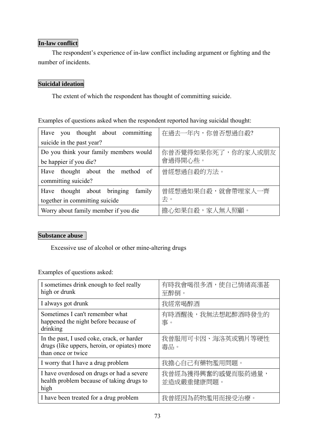# **In-law conflict**

The respondent's experience of in-law conflict including argument or fighting and the number of incidents.

# **Suicidal ideation**

The extent of which the respondent has thought of committing suicide.

Examples of questions asked when the respondent reported having suicidal thought:

| Have you thought about committing                 | 在過去一年內,你曾否想過自殺?    |  |  |
|---------------------------------------------------|--------------------|--|--|
| suicide in the past year?                         |                    |  |  |
| Do you think your family members would            | 你曾否覺得如果你死了,你的家人或朋友 |  |  |
| be happier if you die?                            | 會過得開心些。            |  |  |
| thought about the method<br><sub>of</sub><br>Have | 曾經想過自殺的方法。         |  |  |
| committing suicide?                               |                    |  |  |
| Have thought about bringing<br>family             | 曾經想過如果自殺,就會帶埋家人一齊  |  |  |
| together in committing suicide                    | 去。                 |  |  |
| Worry about family member if you die              | 擔心如果自殺,家人無人照顧。     |  |  |

# **Substance abuse**

Excessive use of alcohol or other mine-altering drugs

Examples of questions asked:

| I sometimes drink enough to feel really<br>high or drunk                                                         | 有時我會喝很多酒,使自己情緒高漲甚<br>至醉倒。       |
|------------------------------------------------------------------------------------------------------------------|---------------------------------|
| I always got drunk                                                                                               | 我經常喝醉酒                          |
| Sometimes I can't remember what<br>happened the night before because of<br>drinking                              | 有時酒醒後,我無法想起醉酒時發生的<br>事。         |
| In the past, I used coke, crack, or harder<br>drugs (like uppers, heroin, or opiates) more<br>than once or twice | 我曾服用可卡因、海洛英或鴉片等硬性<br>毒品。        |
| I worry that I have a drug problem                                                                               | 我擔心自己有藥物濫用問題。                   |
| I have overdosed on drugs or had a severe<br>health problem because of taking drugs to<br>high                   | 我曾經為獲得興奮的感覺而服葯過量,<br>並造成嚴重健康問題。 |
| I have been treated for a drug problem                                                                           | 我曾經因為葯物濫用而接受治療。                 |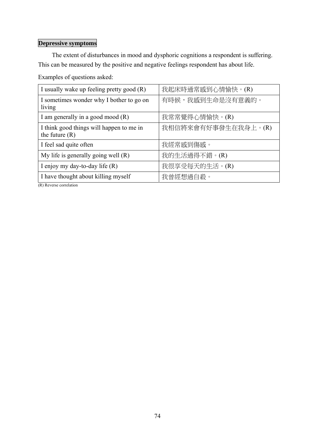# **Depressive symptoms**

The extent of disturbances in mood and dysphoric cognitions a respondent is suffering. This can be measured by the positive and negative feelings respondent has about life.

Examples of questions asked:

| I usually wake up feeling pretty good (R)                    | 我起床時通常感到心情愉快。(R)    |
|--------------------------------------------------------------|---------------------|
| I sometimes wonder why I bother to go on<br>living           | 有時候,我感到生命是沒有意義的。    |
| I am generally in a good mood $(R)$                          | 我常常覺得心情愉快。(R)       |
| I think good things will happen to me in<br>the future $(R)$ | 我相信將來會有好事發生在我身上。(R) |
| I feel sad quite often                                       | 我經常感到傷感。            |
| My life is generally going well $(R)$                        | 我的生活過得不錯。(R)        |
| I enjoy my day-to-day life $(R)$                             | 我很享受每天的生活。(R)       |
| I have thought about killing myself                          | 我曾經想過自殺。            |

(R) Reverse correlation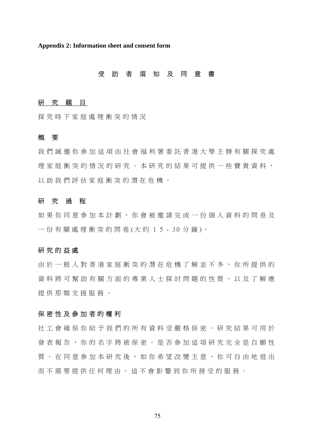**Appendix 2: Information sheet and consent form** 

## 受 訪 者 須 知 及 同 意 書

#### 研 究 題 目

探究時下家庭處理衝突的情況

#### 概 要

我們誠邀你參加這項由社會福利署委託香港大學主辦有關探究處 理家庭衝突的情況的研究。本 研究的結果可提供一些寶貴資料, 以助我們評估家庭衝突的潛在危機。

#### 研 究 過 程

如果你同意參加本計劃,你會被邀請完成一份個人資料的問卷及 一份有關處理衝突的問卷(大約15-30分鐘)。

#### 研究的益處

由於一般人對香港家庭衝突的 潛在危機了解並不多,你所提供的 資料將可幫助有關方面的專業人士探討問題的性質,以及了解應 提供那類支援服務。

## 保密性及參加者的權利

社工會確保你給予我們的所有 資料受嚴格保密。研究結果可用於 發表報告,你的名字將被保密。是否參加這項研究完全是自願性 質。在同意參加本研究後,如你希望改變主意,你可自由地退出 而不需要提供任何理由。這不會影響到你所接受的服務。

75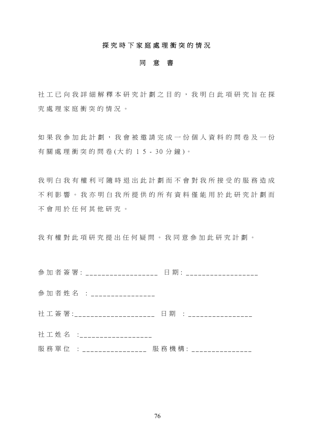## 探究時下家庭處理衝突的情況

#### 同 意 書

社工已向我詳細解釋本研究計劃之目的,我明白此項研究旨在探 究處理家庭衝突的情況。

如果我參加此計劃,我會被邀請完成一份個人資料的問卷及一份 有 關 處 理 衝 突 的 問 卷 (大 約 1 5 - 30 分 鐘 )。

我明白我有權利可隨時退出此計劃而不會對我所接受的服務造成 不利影響。我亦明白我所提供 的所有資料僅能用於此研究計劃而 不會用於任何其他研究。

我有權對此項研究提出任何疑問。我同意參加此研究計劃。

|  |  |  |  |                              | 參加者姓名 :__________________ |  |  |                         |  |  |
|--|--|--|--|------------------------------|---------------------------|--|--|-------------------------|--|--|
|  |  |  |  |                              |                           |  |  |                         |  |  |
|  |  |  |  |                              | 社工姓名 :___________________ |  |  |                         |  |  |
|  |  |  |  | 服 務 單 位 : __________________ |                           |  |  | 服務機構: _________________ |  |  |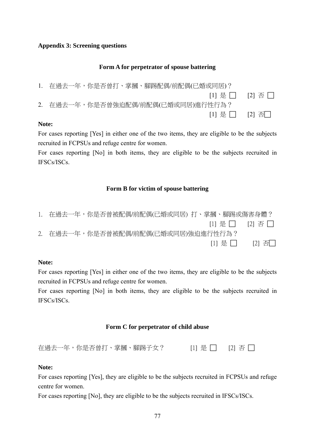## **Appendix 3: Screening questions**

## **Form A for perpetrator of spouse battering**

| 1. 在過去一年,你是否曾打、掌摑、腳踢配偶/前配偶(已婚或同居)? |  |
|------------------------------------|--|
| 11 是        21 否                   |  |
| 2. 在過去一年,你是否曾強迫配偶/前配偶(已婚或同居)進行性行為? |  |
| [1] 是         [2] 否□               |  |

## **Note:**

For cases reporting [Yes] in either one of the two items, they are eligible to be the subjects recruited in FCPSUs and refuge centre for women.

For cases reporting [No] in both items, they are eligible to be the subjects recruited in IFSCs/ISCs.

## **Form B for victim of spouse battering**

|  | - 在過去一年,你是否曾被配偶/前配偶(已婚或同居) 打、掌摑、腳踢或傷害身體? |                               |       |
|--|------------------------------------------|-------------------------------|-------|
|  |                                          | $[1]$ 是 $\Box$ $[2]$ 否 $\Box$ |       |
|  | 2. 在過去一年,你是否曾被配偶/前配偶(已婚或同居)強迫進行性行為?      |                               |       |
|  |                                          | [1] 是丨丨                       | [2] 否 |

#### **Note:**

For cases reporting [Yes] in either one of the two items, they are eligible to be the subjects recruited in FCPSUs and refuge centre for women.

For cases reporting [No] in both items, they are eligible to be the subjects recruited in IFSCs/ISCs.

## **Form C for perpetrator of child abuse**

| 在過去一年,你是否曾打、掌摑、腳踢子女? |  | $[1]$ 是 $[2]$ $[2]$ $[3]$ |
|----------------------|--|---------------------------|
|                      |  |                           |

#### **Note:**

For cases reporting [Yes], they are eligible to be the subjects recruited in FCPSUs and refuge centre for women.

For cases reporting [No], they are eligible to be the subjects recruited in IFSCs/ISCs.